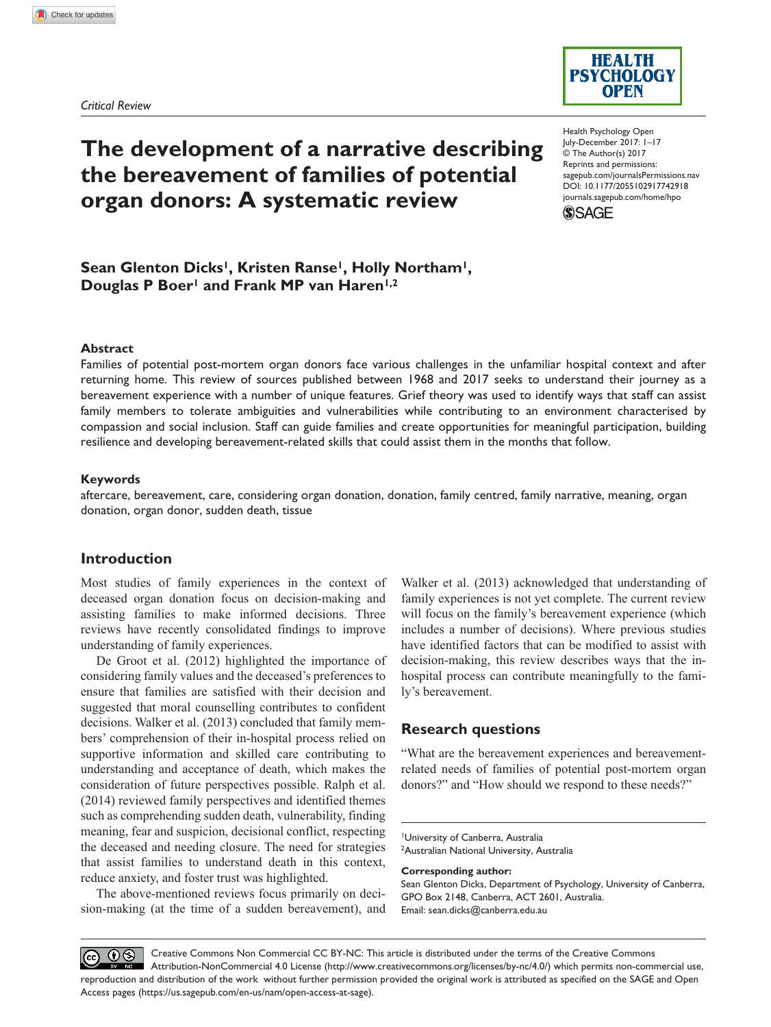*Critical Review*



# **The development of a narrative describing the bereavement of families of potential organ donors: A systematic review**

DOI: [10.1177/2055102917742918](http://doi.org/10.1177/2055102917742918) Health Psychology Open July-December 2017: 1–17 © The Author(s) 2017 Reprints and permissions: [sagepub.com/journalsPermissions.nav](https://uk.sagepub.com/en-gb/journals-permissions) [journals.sagepub.com/home/hpo](https://journals.sagepub.com/home/hpo)



# Sean Glenton Dicks<sup>1</sup>, Kristen Ranse<sup>1</sup>, Holly Northam<sup>1</sup>, **Douglas P Boer<sup>1</sup> and Frank MP van Haren<sup>1,2</sup>**

#### **Abstract**

Families of potential post-mortem organ donors face various challenges in the unfamiliar hospital context and after returning home. This review of sources published between 1968 and 2017 seeks to understand their journey as a bereavement experience with a number of unique features. Grief theory was used to identify ways that staff can assist family members to tolerate ambiguities and vulnerabilities while contributing to an environment characterised by compassion and social inclusion. Staff can guide families and create opportunities for meaningful participation, building resilience and developing bereavement-related skills that could assist them in the months that follow.

## **Keywords**

aftercare, bereavement, care, considering organ donation, donation, family centred, family narrative, meaning, organ donation, organ donor, sudden death, tissue

# **Introduction**

Most studies of family experiences in the context of deceased organ donation focus on decision-making and assisting families to make informed decisions. Three reviews have recently consolidated findings to improve understanding of family experiences.

De Groot et al. (2012) highlighted the importance of considering family values and the deceased's preferences to ensure that families are satisfied with their decision and suggested that moral counselling contributes to confident decisions. Walker et al. (2013) concluded that family members' comprehension of their in-hospital process relied on supportive information and skilled care contributing to understanding and acceptance of death, which makes the consideration of future perspectives possible. Ralph et al. (2014) reviewed family perspectives and identified themes such as comprehending sudden death, vulnerability, finding meaning, fear and suspicion, decisional conflict, respecting the deceased and needing closure. The need for strategies that assist families to understand death in this context, reduce anxiety, and foster trust was highlighted.

The above-mentioned reviews focus primarily on decision-making (at the time of a sudden bereavement), and Walker et al. (2013) acknowledged that understanding of family experiences is not yet complete. The current review will focus on the family's bereavement experience (which includes a number of decisions). Where previous studies have identified factors that can be modified to assist with decision-making, this review describes ways that the inhospital process can contribute meaningfully to the family's bereavement.

# **Research questions**

"What are the bereavement experiences and bereavementrelated needs of families of potential post-mortem organ donors?" and "How should we respond to these needs?"

**Corresponding author:**

Sean Glenton Dicks, Department of Psychology, University of Canberra, GPO Box 2148, Canberra, ACT 2601, Australia. Email: [sean.dicks@canberra.edu.au](mailto:sean.dicks@canberra.edu.au)

 $\circledcirc$ Creative Commons Non Commercial CC BY-NC: This article is distributed under the terms of the Creative Commons  $\odot$ Attribution-NonCommercial 4.0 License (http://www.creativecommons.org/licenses/by-nc/4.0/) which permits non-commercial use, reproduction and distribution of the work without further permission provided the original work is attributed as specified on the SAGE and Open Access pages (https://us.sagepub.com/en-us/nam/open-access-at-sage).

<sup>1</sup>University of Canberra, Australia 2Australian National University, Australia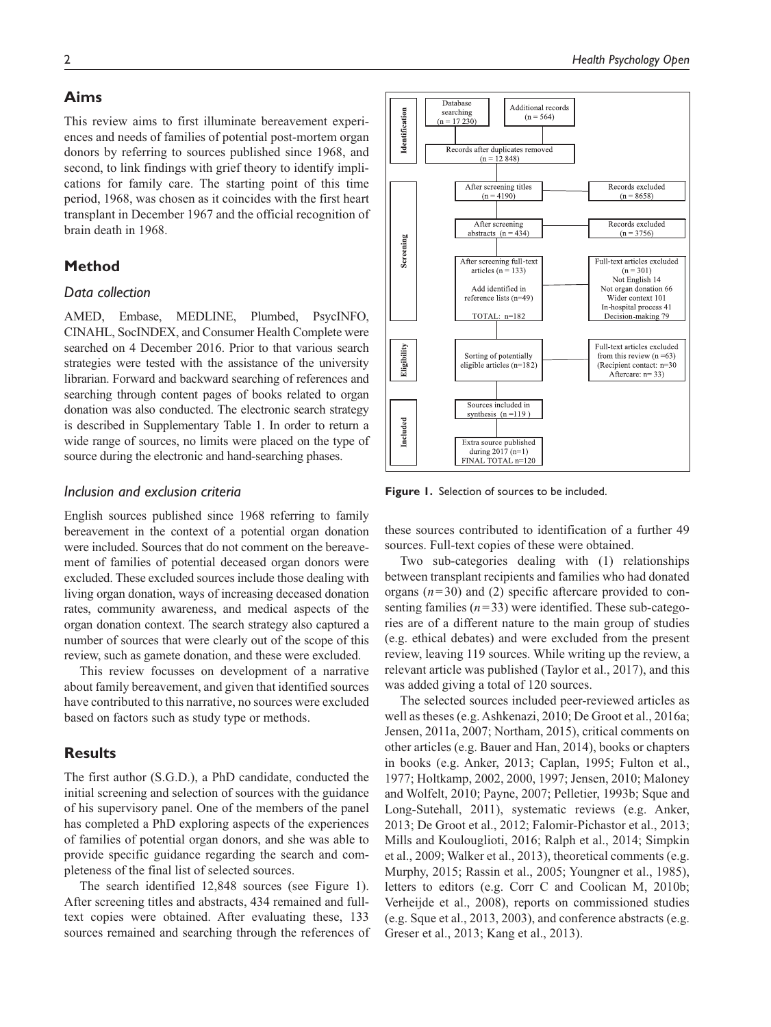# **Aims**

This review aims to first illuminate bereavement experiences and needs of families of potential post-mortem organ donors by referring to sources published since 1968, and second, to link findings with grief theory to identify implications for family care. The starting point of this time period, 1968, was chosen as it coincides with the first heart transplant in December 1967 and the official recognition of brain death in 1968.

# **Method**

# *Data collection*

AMED, Embase, MEDLINE, Plumbed, PsycINFO, CINAHL, SocINDEX, and Consumer Health Complete were searched on 4 December 2016. Prior to that various search strategies were tested with the assistance of the university librarian. Forward and backward searching of references and searching through content pages of books related to organ donation was also conducted. The electronic search strategy is described in Supplementary Table 1. In order to return a wide range of sources, no limits were placed on the type of source during the electronic and hand-searching phases.

#### *Inclusion and exclusion criteria*

English sources published since 1968 referring to family bereavement in the context of a potential organ donation were included. Sources that do not comment on the bereavement of families of potential deceased organ donors were excluded. These excluded sources include those dealing with living organ donation, ways of increasing deceased donation rates, community awareness, and medical aspects of the organ donation context. The search strategy also captured a number of sources that were clearly out of the scope of this review, such as gamete donation, and these were excluded.

This review focusses on development of a narrative about family bereavement, and given that identified sources have contributed to this narrative, no sources were excluded based on factors such as study type or methods.

## **Results**

The first author (S.G.D.), a PhD candidate, conducted the initial screening and selection of sources with the guidance of his supervisory panel. One of the members of the panel has completed a PhD exploring aspects of the experiences of families of potential organ donors, and she was able to provide specific guidance regarding the search and completeness of the final list of selected sources.

The search identified 12,848 sources (see Figure 1). After screening titles and abstracts, 434 remained and fulltext copies were obtained. After evaluating these, 133 sources remained and searching through the references of



**Figure 1.** Selection of sources to be included.

these sources contributed to identification of a further 49 sources. Full-text copies of these were obtained.

Two sub-categories dealing with (1) relationships between transplant recipients and families who had donated organs  $(n=30)$  and (2) specific aftercare provided to consenting families (*n*=33) were identified. These sub-categories are of a different nature to the main group of studies (e.g. ethical debates) and were excluded from the present review, leaving 119 sources. While writing up the review, a relevant article was published (Taylor et al., 2017), and this was added giving a total of 120 sources.

The selected sources included peer-reviewed articles as well as theses (e.g. Ashkenazi, 2010; De Groot et al., 2016a; Jensen, 2011a, 2007; Northam, 2015), critical comments on other articles (e.g. Bauer and Han, 2014), books or chapters in books (e.g. Anker, 2013; Caplan, 1995; Fulton et al., 1977; Holtkamp, 2002, 2000, 1997; Jensen, 2010; Maloney and Wolfelt, 2010; Payne, 2007; Pelletier, 1993b; Sque and Long-Sutehall, 2011), systematic reviews (e.g. Anker, 2013; De Groot et al., 2012; Falomir-Pichastor et al., 2013; Mills and Koulouglioti, 2016; Ralph et al., 2014; Simpkin et al., 2009; Walker et al., 2013), theoretical comments (e.g. Murphy, 2015; Rassin et al., 2005; Youngner et al., 1985), letters to editors (e.g. Corr C and Coolican M, 2010b; Verheijde et al., 2008), reports on commissioned studies (e.g. Sque et al., 2013, 2003), and conference abstracts (e.g. Greser et al., 2013; Kang et al., 2013).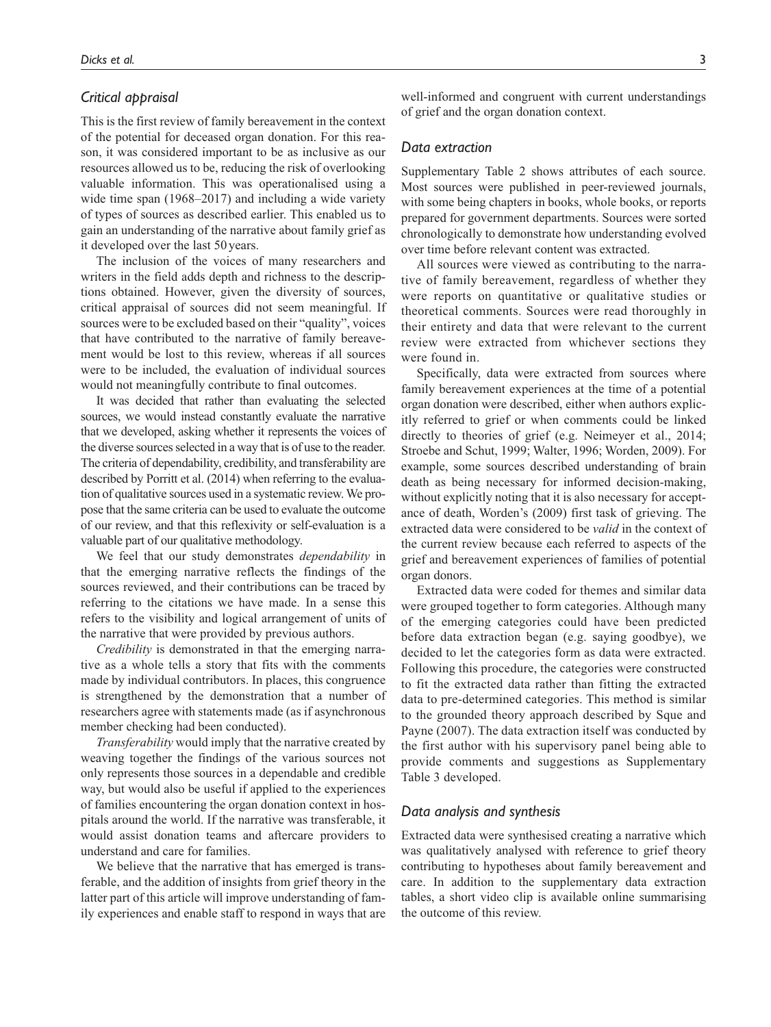#### *Critical appraisal*

This is the first review of family bereavement in the context of the potential for deceased organ donation. For this reason, it was considered important to be as inclusive as our resources allowed us to be, reducing the risk of overlooking valuable information. This was operationalised using a wide time span (1968–2017) and including a wide variety of types of sources as described earlier. This enabled us to gain an understanding of the narrative about family grief as it developed over the last 50years.

The inclusion of the voices of many researchers and writers in the field adds depth and richness to the descriptions obtained. However, given the diversity of sources, critical appraisal of sources did not seem meaningful. If sources were to be excluded based on their "quality", voices that have contributed to the narrative of family bereavement would be lost to this review, whereas if all sources were to be included, the evaluation of individual sources would not meaningfully contribute to final outcomes.

It was decided that rather than evaluating the selected sources, we would instead constantly evaluate the narrative that we developed, asking whether it represents the voices of the diverse sources selected in a way that is of use to the reader. The criteria of dependability, credibility, and transferability are described by Porritt et al. (2014) when referring to the evaluation of qualitative sources used in a systematic review. We propose that the same criteria can be used to evaluate the outcome of our review, and that this reflexivity or self-evaluation is a valuable part of our qualitative methodology.

We feel that our study demonstrates *dependability* in that the emerging narrative reflects the findings of the sources reviewed, and their contributions can be traced by referring to the citations we have made. In a sense this refers to the visibility and logical arrangement of units of the narrative that were provided by previous authors.

*Credibility* is demonstrated in that the emerging narrative as a whole tells a story that fits with the comments made by individual contributors. In places, this congruence is strengthened by the demonstration that a number of researchers agree with statements made (as if asynchronous member checking had been conducted).

*Transferability* would imply that the narrative created by weaving together the findings of the various sources not only represents those sources in a dependable and credible way, but would also be useful if applied to the experiences of families encountering the organ donation context in hospitals around the world. If the narrative was transferable, it would assist donation teams and aftercare providers to understand and care for families.

We believe that the narrative that has emerged is transferable, and the addition of insights from grief theory in the latter part of this article will improve understanding of family experiences and enable staff to respond in ways that are well-informed and congruent with current understandings of grief and the organ donation context.

#### *Data extraction*

Supplementary Table 2 shows attributes of each source. Most sources were published in peer-reviewed journals, with some being chapters in books, whole books, or reports prepared for government departments. Sources were sorted chronologically to demonstrate how understanding evolved over time before relevant content was extracted.

All sources were viewed as contributing to the narrative of family bereavement, regardless of whether they were reports on quantitative or qualitative studies or theoretical comments. Sources were read thoroughly in their entirety and data that were relevant to the current review were extracted from whichever sections they were found in.

Specifically, data were extracted from sources where family bereavement experiences at the time of a potential organ donation were described, either when authors explicitly referred to grief or when comments could be linked directly to theories of grief (e.g. Neimeyer et al., 2014; Stroebe and Schut, 1999; Walter, 1996; Worden, 2009). For example, some sources described understanding of brain death as being necessary for informed decision-making, without explicitly noting that it is also necessary for acceptance of death, Worden's (2009) first task of grieving. The extracted data were considered to be *valid* in the context of the current review because each referred to aspects of the grief and bereavement experiences of families of potential organ donors.

Extracted data were coded for themes and similar data were grouped together to form categories. Although many of the emerging categories could have been predicted before data extraction began (e.g. saying goodbye), we decided to let the categories form as data were extracted. Following this procedure, the categories were constructed to fit the extracted data rather than fitting the extracted data to pre-determined categories. This method is similar to the grounded theory approach described by Sque and Payne (2007). The data extraction itself was conducted by the first author with his supervisory panel being able to provide comments and suggestions as Supplementary Table 3 developed.

## *Data analysis and synthesis*

Extracted data were synthesised creating a narrative which was qualitatively analysed with reference to grief theory contributing to hypotheses about family bereavement and care. In addition to the supplementary data extraction tables, a short video clip is available online summarising the outcome of this review.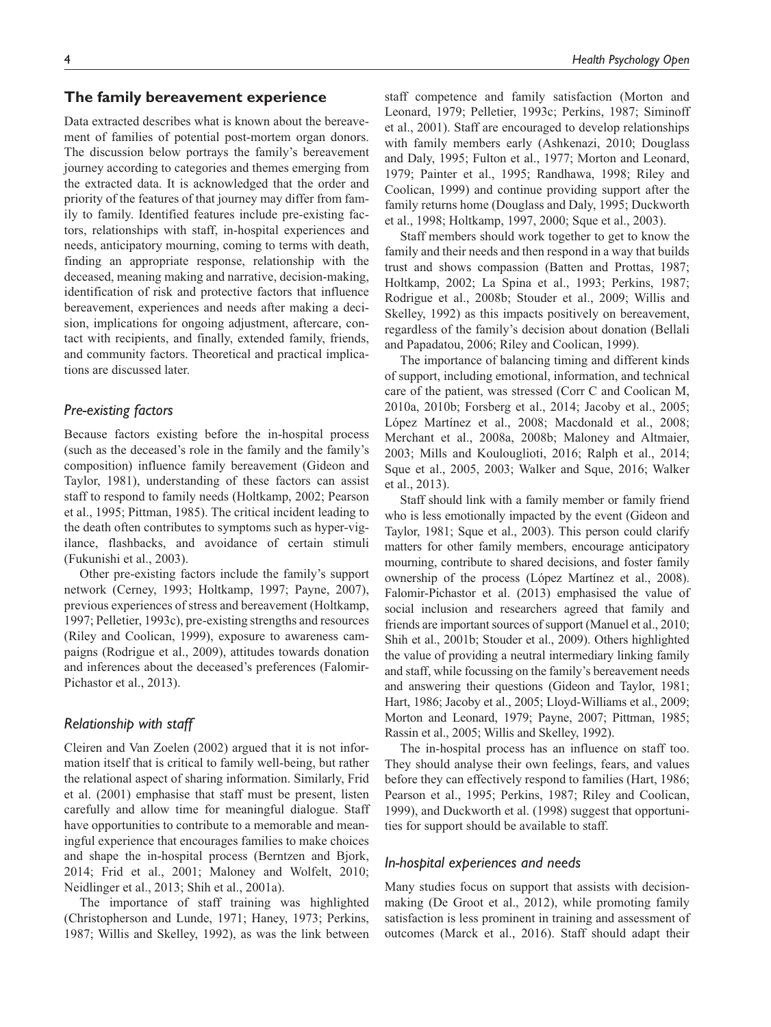# **The family bereavement experience**

Data extracted describes what is known about the bereavement of families of potential post-mortem organ donors. The discussion below portrays the family's bereavement journey according to categories and themes emerging from the extracted data. It is acknowledged that the order and priority of the features of that journey may differ from family to family. Identified features include pre-existing factors, relationships with staff, in-hospital experiences and needs, anticipatory mourning, coming to terms with death, finding an appropriate response, relationship with the deceased, meaning making and narrative, decision-making, identification of risk and protective factors that influence bereavement, experiences and needs after making a decision, implications for ongoing adjustment, aftercare, contact with recipients, and finally, extended family, friends, and community factors. Theoretical and practical implications are discussed later.

## *Pre-existing factors*

Because factors existing before the in-hospital process (such as the deceased's role in the family and the family's composition) influence family bereavement (Gideon and Taylor, 1981), understanding of these factors can assist staff to respond to family needs (Holtkamp, 2002; Pearson et al., 1995; Pittman, 1985). The critical incident leading to the death often contributes to symptoms such as hyper-vigilance, flashbacks, and avoidance of certain stimuli (Fukunishi et al., 2003).

Other pre-existing factors include the family's support network (Cerney, 1993; Holtkamp, 1997; Payne, 2007), previous experiences of stress and bereavement (Holtkamp, 1997; Pelletier, 1993c), pre-existing strengths and resources (Riley and Coolican, 1999), exposure to awareness campaigns (Rodrigue et al., 2009), attitudes towards donation and inferences about the deceased's preferences (Falomir-Pichastor et al., 2013).

# *Relationship with staff*

Cleiren and Van Zoelen (2002) argued that it is not information itself that is critical to family well-being, but rather the relational aspect of sharing information. Similarly, Frid et al. (2001) emphasise that staff must be present, listen carefully and allow time for meaningful dialogue. Staff have opportunities to contribute to a memorable and meaningful experience that encourages families to make choices and shape the in-hospital process (Berntzen and Bjork, 2014; Frid et al., 2001; Maloney and Wolfelt, 2010; Neidlinger et al., 2013; Shih et al., 2001a).

The importance of staff training was highlighted (Christopherson and Lunde, 1971; Haney, 1973; Perkins, 1987; Willis and Skelley, 1992), as was the link between staff competence and family satisfaction (Morton and Leonard, 1979; Pelletier, 1993c; Perkins, 1987; Siminoff et al., 2001). Staff are encouraged to develop relationships with family members early (Ashkenazi, 2010; Douglass and Daly, 1995; Fulton et al., 1977; Morton and Leonard, 1979; Painter et al., 1995; Randhawa, 1998; Riley and Coolican, 1999) and continue providing support after the family returns home (Douglass and Daly, 1995; Duckworth et al., 1998; Holtkamp, 1997, 2000; Sque et al., 2003).

Staff members should work together to get to know the family and their needs and then respond in a way that builds trust and shows compassion (Batten and Prottas, 1987; Holtkamp, 2002; La Spina et al., 1993; Perkins, 1987; Rodrigue et al., 2008b; Stouder et al., 2009; Willis and Skelley, 1992) as this impacts positively on bereavement, regardless of the family's decision about donation (Bellali and Papadatou, 2006; Riley and Coolican, 1999).

The importance of balancing timing and different kinds of support, including emotional, information, and technical care of the patient, was stressed (Corr C and Coolican M, 2010a, 2010b; Forsberg et al., 2014; Jacoby et al., 2005; López Martínez et al., 2008; Macdonald et al., 2008; Merchant et al., 2008a, 2008b; Maloney and Altmaier, 2003; Mills and Koulouglioti, 2016; Ralph et al., 2014; Sque et al., 2005, 2003; Walker and Sque, 2016; Walker et al., 2013).

Staff should link with a family member or family friend who is less emotionally impacted by the event (Gideon and Taylor, 1981; Sque et al., 2003). This person could clarify matters for other family members, encourage anticipatory mourning, contribute to shared decisions, and foster family ownership of the process (López Martínez et al., 2008). Falomir-Pichastor et al. (2013) emphasised the value of social inclusion and researchers agreed that family and friends are important sources of support (Manuel et al., 2010; Shih et al., 2001b; Stouder et al., 2009). Others highlighted the value of providing a neutral intermediary linking family and staff, while focussing on the family's bereavement needs and answering their questions (Gideon and Taylor, 1981; Hart, 1986; Jacoby et al., 2005; Lloyd-Williams et al., 2009; Morton and Leonard, 1979; Payne, 2007; Pittman, 1985; Rassin et al., 2005; Willis and Skelley, 1992).

The in-hospital process has an influence on staff too. They should analyse their own feelings, fears, and values before they can effectively respond to families (Hart, 1986; Pearson et al., 1995; Perkins, 1987; Riley and Coolican, 1999), and Duckworth et al. (1998) suggest that opportunities for support should be available to staff.

#### *In-hospital experiences and needs*

Many studies focus on support that assists with decisionmaking (De Groot et al., 2012), while promoting family satisfaction is less prominent in training and assessment of outcomes (Marck et al., 2016). Staff should adapt their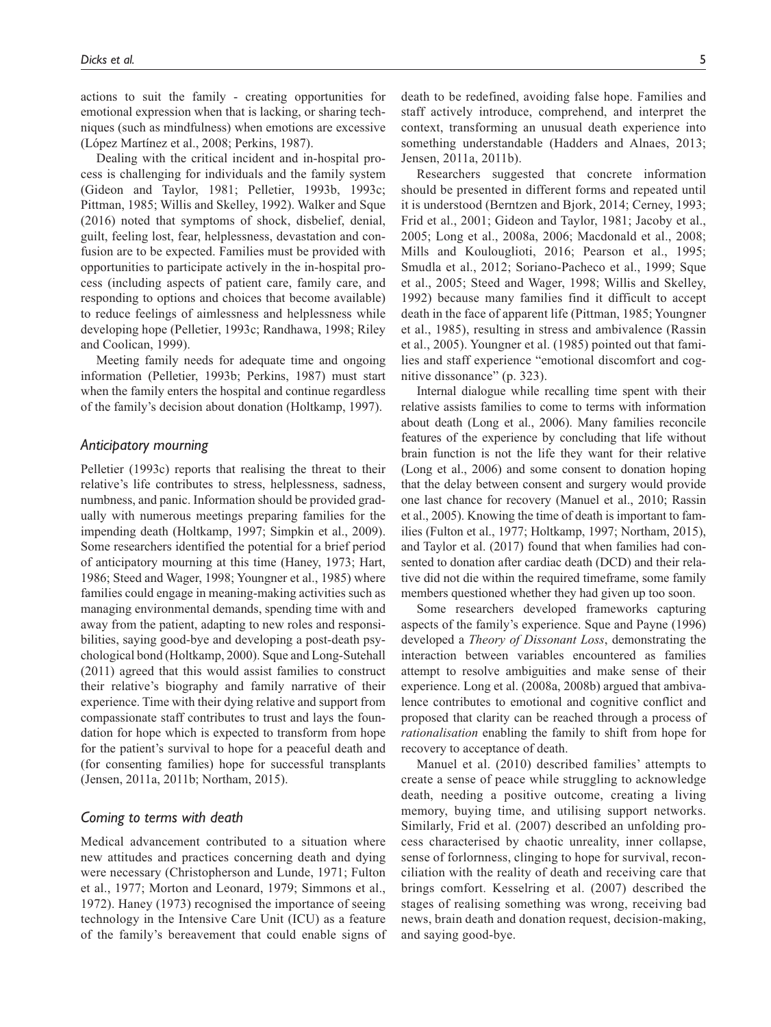actions to suit the family - creating opportunities for emotional expression when that is lacking, or sharing techniques (such as mindfulness) when emotions are excessive (López Martínez et al., 2008; Perkins, 1987).

Dealing with the critical incident and in-hospital process is challenging for individuals and the family system (Gideon and Taylor, 1981; Pelletier, 1993b, 1993c; Pittman, 1985; Willis and Skelley, 1992). Walker and Sque (2016) noted that symptoms of shock, disbelief, denial, guilt, feeling lost, fear, helplessness, devastation and confusion are to be expected. Families must be provided with opportunities to participate actively in the in-hospital process (including aspects of patient care, family care, and responding to options and choices that become available) to reduce feelings of aimlessness and helplessness while developing hope (Pelletier, 1993c; Randhawa, 1998; Riley and Coolican, 1999).

Meeting family needs for adequate time and ongoing information (Pelletier, 1993b; Perkins, 1987) must start when the family enters the hospital and continue regardless of the family's decision about donation (Holtkamp, 1997).

### *Anticipatory mourning*

Pelletier (1993c) reports that realising the threat to their relative's life contributes to stress, helplessness, sadness, numbness, and panic. Information should be provided gradually with numerous meetings preparing families for the impending death (Holtkamp, 1997; Simpkin et al., 2009). Some researchers identified the potential for a brief period of anticipatory mourning at this time (Haney, 1973; Hart, 1986; Steed and Wager, 1998; Youngner et al., 1985) where families could engage in meaning-making activities such as managing environmental demands, spending time with and away from the patient, adapting to new roles and responsibilities, saying good-bye and developing a post-death psychological bond (Holtkamp, 2000). Sque and Long-Sutehall (2011) agreed that this would assist families to construct their relative's biography and family narrative of their experience. Time with their dying relative and support from compassionate staff contributes to trust and lays the foundation for hope which is expected to transform from hope for the patient's survival to hope for a peaceful death and (for consenting families) hope for successful transplants (Jensen, 2011a, 2011b; Northam, 2015).

#### *Coming to terms with death*

Medical advancement contributed to a situation where new attitudes and practices concerning death and dying were necessary (Christopherson and Lunde, 1971; Fulton et al., 1977; Morton and Leonard, 1979; Simmons et al., 1972). Haney (1973) recognised the importance of seeing technology in the Intensive Care Unit (ICU) as a feature of the family's bereavement that could enable signs of death to be redefined, avoiding false hope. Families and staff actively introduce, comprehend, and interpret the context, transforming an unusual death experience into something understandable (Hadders and Alnaes, 2013; Jensen, 2011a, 2011b).

Researchers suggested that concrete information should be presented in different forms and repeated until it is understood (Berntzen and Bjork, 2014; Cerney, 1993; Frid et al., 2001; Gideon and Taylor, 1981; Jacoby et al., 2005; Long et al., 2008a, 2006; Macdonald et al., 2008; Mills and Koulouglioti, 2016; Pearson et al., 1995; Smudla et al., 2012; Soriano-Pacheco et al., 1999; Sque et al., 2005; Steed and Wager, 1998; Willis and Skelley, 1992) because many families find it difficult to accept death in the face of apparent life (Pittman, 1985; Youngner et al., 1985), resulting in stress and ambivalence (Rassin et al., 2005). Youngner et al. (1985) pointed out that families and staff experience "emotional discomfort and cognitive dissonance" (p. 323).

Internal dialogue while recalling time spent with their relative assists families to come to terms with information about death (Long et al., 2006). Many families reconcile features of the experience by concluding that life without brain function is not the life they want for their relative (Long et al., 2006) and some consent to donation hoping that the delay between consent and surgery would provide one last chance for recovery (Manuel et al., 2010; Rassin et al., 2005). Knowing the time of death is important to families (Fulton et al., 1977; Holtkamp, 1997; Northam, 2015), and Taylor et al. (2017) found that when families had consented to donation after cardiac death (DCD) and their relative did not die within the required timeframe, some family members questioned whether they had given up too soon.

Some researchers developed frameworks capturing aspects of the family's experience. Sque and Payne (1996) developed a *Theory of Dissonant Loss*, demonstrating the interaction between variables encountered as families attempt to resolve ambiguities and make sense of their experience. Long et al. (2008a, 2008b) argued that ambivalence contributes to emotional and cognitive conflict and proposed that clarity can be reached through a process of *rationalisation* enabling the family to shift from hope for recovery to acceptance of death.

Manuel et al. (2010) described families' attempts to create a sense of peace while struggling to acknowledge death, needing a positive outcome, creating a living memory, buying time, and utilising support networks. Similarly, Frid et al. (2007) described an unfolding process characterised by chaotic unreality, inner collapse, sense of forlornness, clinging to hope for survival, reconciliation with the reality of death and receiving care that brings comfort. Kesselring et al. (2007) described the stages of realising something was wrong, receiving bad news, brain death and donation request, decision-making, and saying good-bye.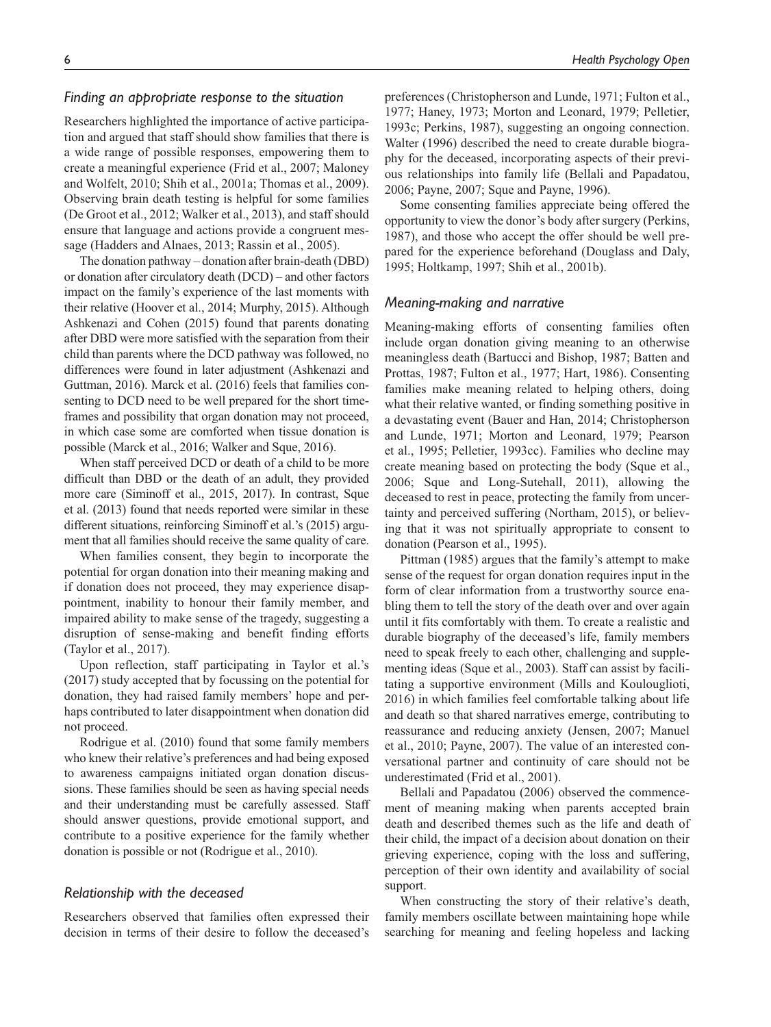## *Finding an appropriate response to the situation*

Researchers highlighted the importance of active participation and argued that staff should show families that there is a wide range of possible responses, empowering them to create a meaningful experience (Frid et al., 2007; Maloney and Wolfelt, 2010; Shih et al., 2001a; Thomas et al., 2009). Observing brain death testing is helpful for some families (De Groot et al., 2012; Walker et al., 2013), and staff should ensure that language and actions provide a congruent message (Hadders and Alnaes, 2013; Rassin et al., 2005).

The donation pathway – donation after brain-death (DBD) or donation after circulatory death (DCD) – and other factors impact on the family's experience of the last moments with their relative (Hoover et al., 2014; Murphy, 2015). Although Ashkenazi and Cohen (2015) found that parents donating after DBD were more satisfied with the separation from their child than parents where the DCD pathway was followed, no differences were found in later adjustment (Ashkenazi and Guttman, 2016). Marck et al. (2016) feels that families consenting to DCD need to be well prepared for the short timeframes and possibility that organ donation may not proceed, in which case some are comforted when tissue donation is possible (Marck et al., 2016; Walker and Sque, 2016).

When staff perceived DCD or death of a child to be more difficult than DBD or the death of an adult, they provided more care (Siminoff et al., 2015, 2017). In contrast, Sque et al. (2013) found that needs reported were similar in these different situations, reinforcing Siminoff et al.'s (2015) argument that all families should receive the same quality of care.

When families consent, they begin to incorporate the potential for organ donation into their meaning making and if donation does not proceed, they may experience disappointment, inability to honour their family member, and impaired ability to make sense of the tragedy, suggesting a disruption of sense-making and benefit finding efforts (Taylor et al., 2017).

Upon reflection, staff participating in Taylor et al.'s (2017) study accepted that by focussing on the potential for donation, they had raised family members' hope and perhaps contributed to later disappointment when donation did not proceed.

Rodrigue et al. (2010) found that some family members who knew their relative's preferences and had being exposed to awareness campaigns initiated organ donation discussions. These families should be seen as having special needs and their understanding must be carefully assessed. Staff should answer questions, provide emotional support, and contribute to a positive experience for the family whether donation is possible or not (Rodrigue et al., 2010).

#### *Relationship with the deceased*

Researchers observed that families often expressed their decision in terms of their desire to follow the deceased's preferences (Christopherson and Lunde, 1971; Fulton et al., 1977; Haney, 1973; Morton and Leonard, 1979; Pelletier, 1993c; Perkins, 1987), suggesting an ongoing connection. Walter (1996) described the need to create durable biography for the deceased, incorporating aspects of their previous relationships into family life (Bellali and Papadatou, 2006; Payne, 2007; Sque and Payne, 1996).

Some consenting families appreciate being offered the opportunity to view the donor's body after surgery (Perkins, 1987), and those who accept the offer should be well prepared for the experience beforehand (Douglass and Daly, 1995; Holtkamp, 1997; Shih et al., 2001b).

#### *Meaning-making and narrative*

Meaning-making efforts of consenting families often include organ donation giving meaning to an otherwise meaningless death (Bartucci and Bishop, 1987; Batten and Prottas, 1987; Fulton et al., 1977; Hart, 1986). Consenting families make meaning related to helping others, doing what their relative wanted, or finding something positive in a devastating event (Bauer and Han, 2014; Christopherson and Lunde, 1971; Morton and Leonard, 1979; Pearson et al., 1995; Pelletier, 1993cc). Families who decline may create meaning based on protecting the body (Sque et al., 2006; Sque and Long-Sutehall, 2011), allowing the deceased to rest in peace, protecting the family from uncertainty and perceived suffering (Northam, 2015), or believing that it was not spiritually appropriate to consent to donation (Pearson et al., 1995).

Pittman (1985) argues that the family's attempt to make sense of the request for organ donation requires input in the form of clear information from a trustworthy source enabling them to tell the story of the death over and over again until it fits comfortably with them. To create a realistic and durable biography of the deceased's life, family members need to speak freely to each other, challenging and supplementing ideas (Sque et al., 2003). Staff can assist by facilitating a supportive environment (Mills and Koulouglioti, 2016) in which families feel comfortable talking about life and death so that shared narratives emerge, contributing to reassurance and reducing anxiety (Jensen, 2007; Manuel et al., 2010; Payne, 2007). The value of an interested conversational partner and continuity of care should not be underestimated (Frid et al., 2001).

Bellali and Papadatou (2006) observed the commencement of meaning making when parents accepted brain death and described themes such as the life and death of their child, the impact of a decision about donation on their grieving experience, coping with the loss and suffering, perception of their own identity and availability of social support.

When constructing the story of their relative's death, family members oscillate between maintaining hope while searching for meaning and feeling hopeless and lacking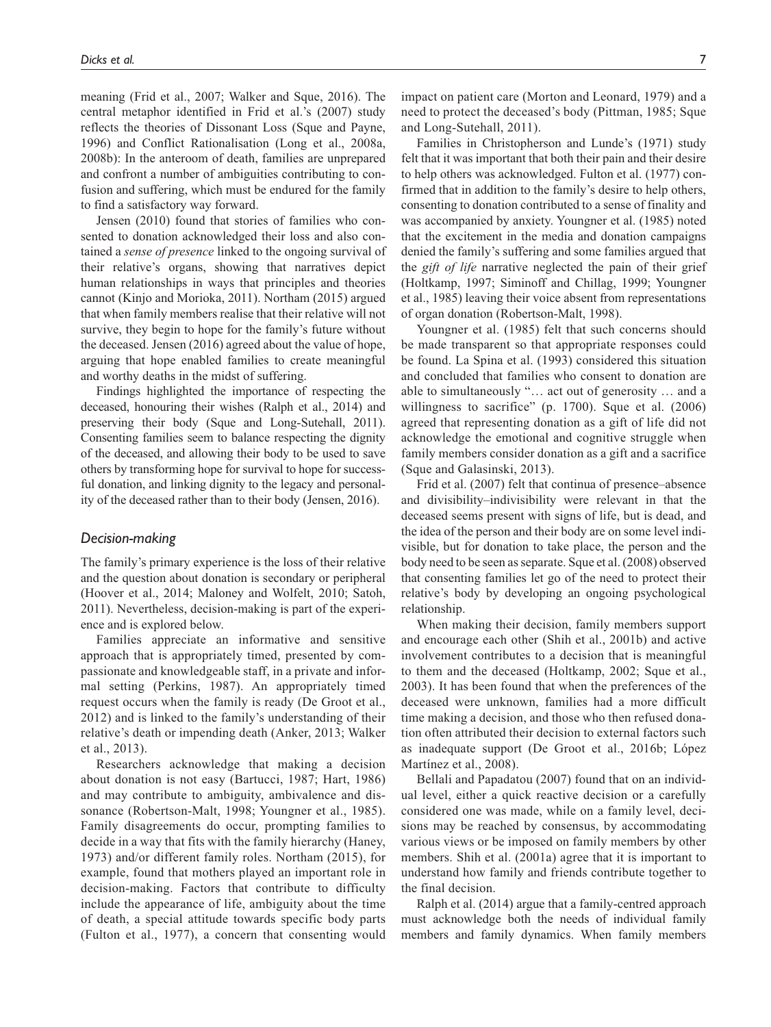meaning (Frid et al., 2007; Walker and Sque, 2016). The central metaphor identified in Frid et al.'s (2007) study reflects the theories of Dissonant Loss (Sque and Payne, 1996) and Conflict Rationalisation (Long et al., 2008a, 2008b): In the anteroom of death, families are unprepared and confront a number of ambiguities contributing to confusion and suffering, which must be endured for the family to find a satisfactory way forward.

Jensen (2010) found that stories of families who consented to donation acknowledged their loss and also contained a *sense of presence* linked to the ongoing survival of their relative's organs, showing that narratives depict human relationships in ways that principles and theories cannot (Kinjo and Morioka, 2011). Northam (2015) argued that when family members realise that their relative will not survive, they begin to hope for the family's future without the deceased. Jensen (2016) agreed about the value of hope, arguing that hope enabled families to create meaningful and worthy deaths in the midst of suffering.

Findings highlighted the importance of respecting the deceased, honouring their wishes (Ralph et al., 2014) and preserving their body (Sque and Long-Sutehall, 2011). Consenting families seem to balance respecting the dignity of the deceased, and allowing their body to be used to save others by transforming hope for survival to hope for successful donation, and linking dignity to the legacy and personality of the deceased rather than to their body (Jensen, 2016).

## *Decision-making*

The family's primary experience is the loss of their relative and the question about donation is secondary or peripheral (Hoover et al., 2014; Maloney and Wolfelt, 2010; Satoh, 2011). Nevertheless, decision-making is part of the experience and is explored below.

Families appreciate an informative and sensitive approach that is appropriately timed, presented by compassionate and knowledgeable staff, in a private and informal setting (Perkins, 1987). An appropriately timed request occurs when the family is ready (De Groot et al., 2012) and is linked to the family's understanding of their relative's death or impending death (Anker, 2013; Walker et al., 2013).

Researchers acknowledge that making a decision about donation is not easy (Bartucci, 1987; Hart, 1986) and may contribute to ambiguity, ambivalence and dissonance (Robertson-Malt, 1998; Youngner et al., 1985). Family disagreements do occur, prompting families to decide in a way that fits with the family hierarchy (Haney, 1973) and/or different family roles. Northam (2015), for example, found that mothers played an important role in decision-making. Factors that contribute to difficulty include the appearance of life, ambiguity about the time of death, a special attitude towards specific body parts (Fulton et al., 1977), a concern that consenting would

impact on patient care (Morton and Leonard, 1979) and a need to protect the deceased's body (Pittman, 1985; Sque and Long-Sutehall, 2011).

Families in Christopherson and Lunde's (1971) study felt that it was important that both their pain and their desire to help others was acknowledged. Fulton et al. (1977) confirmed that in addition to the family's desire to help others, consenting to donation contributed to a sense of finality and was accompanied by anxiety. Youngner et al. (1985) noted that the excitement in the media and donation campaigns denied the family's suffering and some families argued that the *gift of life* narrative neglected the pain of their grief (Holtkamp, 1997; Siminoff and Chillag, 1999; Youngner et al., 1985) leaving their voice absent from representations of organ donation (Robertson-Malt, 1998).

Youngner et al. (1985) felt that such concerns should be made transparent so that appropriate responses could be found. La Spina et al. (1993) considered this situation and concluded that families who consent to donation are able to simultaneously "… act out of generosity … and a willingness to sacrifice" (p. 1700). Sque et al. (2006) agreed that representing donation as a gift of life did not acknowledge the emotional and cognitive struggle when family members consider donation as a gift and a sacrifice (Sque and Galasinski, 2013).

Frid et al. (2007) felt that continua of presence–absence and divisibility–indivisibility were relevant in that the deceased seems present with signs of life, but is dead, and the idea of the person and their body are on some level indivisible, but for donation to take place, the person and the body need to be seen as separate. Sque et al. (2008) observed that consenting families let go of the need to protect their relative's body by developing an ongoing psychological relationship.

When making their decision, family members support and encourage each other (Shih et al., 2001b) and active involvement contributes to a decision that is meaningful to them and the deceased (Holtkamp, 2002; Sque et al., 2003). It has been found that when the preferences of the deceased were unknown, families had a more difficult time making a decision, and those who then refused donation often attributed their decision to external factors such as inadequate support (De Groot et al., 2016b; López Martínez et al., 2008).

Bellali and Papadatou (2007) found that on an individual level, either a quick reactive decision or a carefully considered one was made, while on a family level, decisions may be reached by consensus, by accommodating various views or be imposed on family members by other members. Shih et al. (2001a) agree that it is important to understand how family and friends contribute together to the final decision.

Ralph et al. (2014) argue that a family-centred approach must acknowledge both the needs of individual family members and family dynamics. When family members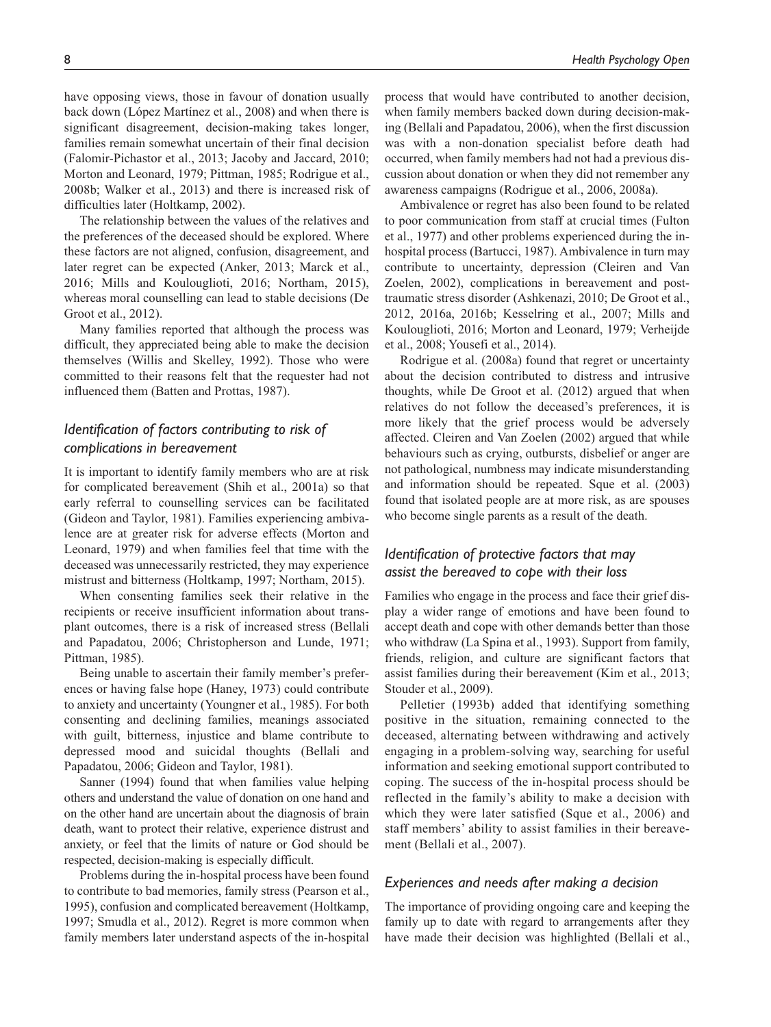have opposing views, those in favour of donation usually back down (López Martínez et al., 2008) and when there is significant disagreement, decision-making takes longer, families remain somewhat uncertain of their final decision (Falomir-Pichastor et al., 2013; Jacoby and Jaccard, 2010; Morton and Leonard, 1979; Pittman, 1985; Rodrigue et al., 2008b; Walker et al., 2013) and there is increased risk of difficulties later (Holtkamp, 2002).

The relationship between the values of the relatives and the preferences of the deceased should be explored. Where these factors are not aligned, confusion, disagreement, and later regret can be expected (Anker, 2013; Marck et al., 2016; Mills and Koulouglioti, 2016; Northam, 2015), whereas moral counselling can lead to stable decisions (De Groot et al., 2012).

Many families reported that although the process was difficult, they appreciated being able to make the decision themselves (Willis and Skelley, 1992). Those who were committed to their reasons felt that the requester had not influenced them (Batten and Prottas, 1987).

# *Identification of factors contributing to risk of complications in bereavement*

It is important to identify family members who are at risk for complicated bereavement (Shih et al., 2001a) so that early referral to counselling services can be facilitated (Gideon and Taylor, 1981). Families experiencing ambivalence are at greater risk for adverse effects (Morton and Leonard, 1979) and when families feel that time with the deceased was unnecessarily restricted, they may experience mistrust and bitterness (Holtkamp, 1997; Northam, 2015).

When consenting families seek their relative in the recipients or receive insufficient information about transplant outcomes, there is a risk of increased stress (Bellali and Papadatou, 2006; Christopherson and Lunde, 1971; Pittman, 1985).

Being unable to ascertain their family member's preferences or having false hope (Haney, 1973) could contribute to anxiety and uncertainty (Youngner et al., 1985). For both consenting and declining families, meanings associated with guilt, bitterness, injustice and blame contribute to depressed mood and suicidal thoughts (Bellali and Papadatou, 2006; Gideon and Taylor, 1981).

Sanner (1994) found that when families value helping others and understand the value of donation on one hand and on the other hand are uncertain about the diagnosis of brain death, want to protect their relative, experience distrust and anxiety, or feel that the limits of nature or God should be respected, decision-making is especially difficult.

Problems during the in-hospital process have been found to contribute to bad memories, family stress (Pearson et al., 1995), confusion and complicated bereavement (Holtkamp, 1997; Smudla et al., 2012). Regret is more common when family members later understand aspects of the in-hospital process that would have contributed to another decision, when family members backed down during decision-making (Bellali and Papadatou, 2006), when the first discussion was with a non-donation specialist before death had occurred, when family members had not had a previous discussion about donation or when they did not remember any awareness campaigns (Rodrigue et al., 2006, 2008a).

Ambivalence or regret has also been found to be related to poor communication from staff at crucial times (Fulton et al., 1977) and other problems experienced during the inhospital process (Bartucci, 1987). Ambivalence in turn may contribute to uncertainty, depression (Cleiren and Van Zoelen, 2002), complications in bereavement and posttraumatic stress disorder (Ashkenazi, 2010; De Groot et al., 2012, 2016a, 2016b; Kesselring et al., 2007; Mills and Koulouglioti, 2016; Morton and Leonard, 1979; Verheijde et al., 2008; Yousefi et al., 2014).

Rodrigue et al. (2008a) found that regret or uncertainty about the decision contributed to distress and intrusive thoughts, while De Groot et al. (2012) argued that when relatives do not follow the deceased's preferences, it is more likely that the grief process would be adversely affected. Cleiren and Van Zoelen (2002) argued that while behaviours such as crying, outbursts, disbelief or anger are not pathological, numbness may indicate misunderstanding and information should be repeated. Sque et al. (2003) found that isolated people are at more risk, as are spouses who become single parents as a result of the death.

# *Identification of protective factors that may assist the bereaved to cope with their loss*

Families who engage in the process and face their grief display a wider range of emotions and have been found to accept death and cope with other demands better than those who withdraw (La Spina et al., 1993). Support from family, friends, religion, and culture are significant factors that assist families during their bereavement (Kim et al., 2013; Stouder et al., 2009).

Pelletier (1993b) added that identifying something positive in the situation, remaining connected to the deceased, alternating between withdrawing and actively engaging in a problem-solving way, searching for useful information and seeking emotional support contributed to coping. The success of the in-hospital process should be reflected in the family's ability to make a decision with which they were later satisfied (Sque et al., 2006) and staff members' ability to assist families in their bereavement (Bellali et al., 2007).

# *Experiences and needs after making a decision*

The importance of providing ongoing care and keeping the family up to date with regard to arrangements after they have made their decision was highlighted (Bellali et al.,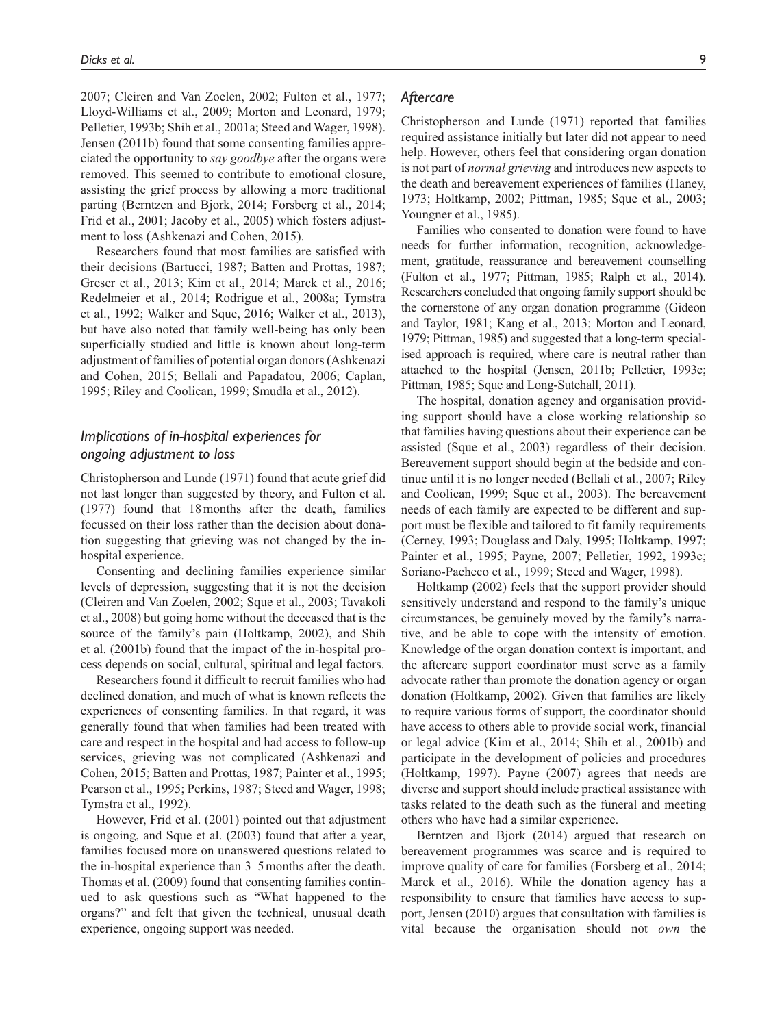2007; Cleiren and Van Zoelen, 2002; Fulton et al., 1977; Lloyd-Williams et al., 2009; Morton and Leonard, 1979; Pelletier, 1993b; Shih et al., 2001a; Steed and Wager, 1998). Jensen (2011b) found that some consenting families appreciated the opportunity to *say goodbye* after the organs were removed. This seemed to contribute to emotional closure, assisting the grief process by allowing a more traditional parting (Berntzen and Bjork, 2014; Forsberg et al., 2014; Frid et al., 2001; Jacoby et al., 2005) which fosters adjustment to loss (Ashkenazi and Cohen, 2015).

Researchers found that most families are satisfied with their decisions (Bartucci, 1987; Batten and Prottas, 1987; Greser et al., 2013; Kim et al., 2014; Marck et al., 2016; Redelmeier et al., 2014; Rodrigue et al., 2008a; Tymstra et al., 1992; Walker and Sque, 2016; Walker et al., 2013), but have also noted that family well-being has only been superficially studied and little is known about long-term adjustment of families of potential organ donors (Ashkenazi and Cohen, 2015; Bellali and Papadatou, 2006; Caplan, 1995; Riley and Coolican, 1999; Smudla et al., 2012).

# *Implications of in-hospital experiences for ongoing adjustment to loss*

Christopherson and Lunde (1971) found that acute grief did not last longer than suggested by theory, and Fulton et al. (1977) found that 18months after the death, families focussed on their loss rather than the decision about donation suggesting that grieving was not changed by the inhospital experience.

Consenting and declining families experience similar levels of depression, suggesting that it is not the decision (Cleiren and Van Zoelen, 2002; Sque et al., 2003; Tavakoli et al., 2008) but going home without the deceased that is the source of the family's pain (Holtkamp, 2002), and Shih et al. (2001b) found that the impact of the in-hospital process depends on social, cultural, spiritual and legal factors.

Researchers found it difficult to recruit families who had declined donation, and much of what is known reflects the experiences of consenting families. In that regard, it was generally found that when families had been treated with care and respect in the hospital and had access to follow-up services, grieving was not complicated (Ashkenazi and Cohen, 2015; Batten and Prottas, 1987; Painter et al., 1995; Pearson et al., 1995; Perkins, 1987; Steed and Wager, 1998; Tymstra et al., 1992).

However, Frid et al. (2001) pointed out that adjustment is ongoing, and Sque et al. (2003) found that after a year, families focused more on unanswered questions related to the in-hospital experience than 3–5months after the death. Thomas et al. (2009) found that consenting families continued to ask questions such as "What happened to the organs?" and felt that given the technical, unusual death experience, ongoing support was needed.

## *Aftercare*

Christopherson and Lunde (1971) reported that families required assistance initially but later did not appear to need help. However, others feel that considering organ donation is not part of *normal grieving* and introduces new aspects to the death and bereavement experiences of families (Haney, 1973; Holtkamp, 2002; Pittman, 1985; Sque et al., 2003; Youngner et al., 1985).

Families who consented to donation were found to have needs for further information, recognition, acknowledgement, gratitude, reassurance and bereavement counselling (Fulton et al., 1977; Pittman, 1985; Ralph et al., 2014). Researchers concluded that ongoing family support should be the cornerstone of any organ donation programme (Gideon and Taylor, 1981; Kang et al., 2013; Morton and Leonard, 1979; Pittman, 1985) and suggested that a long-term specialised approach is required, where care is neutral rather than attached to the hospital (Jensen, 2011b; Pelletier, 1993c; Pittman, 1985; Sque and Long-Sutehall, 2011).

The hospital, donation agency and organisation providing support should have a close working relationship so that families having questions about their experience can be assisted (Sque et al., 2003) regardless of their decision. Bereavement support should begin at the bedside and continue until it is no longer needed (Bellali et al., 2007; Riley and Coolican, 1999; Sque et al., 2003). The bereavement needs of each family are expected to be different and support must be flexible and tailored to fit family requirements (Cerney, 1993; Douglass and Daly, 1995; Holtkamp, 1997; Painter et al., 1995; Payne, 2007; Pelletier, 1992, 1993c; Soriano-Pacheco et al., 1999; Steed and Wager, 1998).

Holtkamp (2002) feels that the support provider should sensitively understand and respond to the family's unique circumstances, be genuinely moved by the family's narrative, and be able to cope with the intensity of emotion. Knowledge of the organ donation context is important, and the aftercare support coordinator must serve as a family advocate rather than promote the donation agency or organ donation (Holtkamp, 2002). Given that families are likely to require various forms of support, the coordinator should have access to others able to provide social work, financial or legal advice (Kim et al., 2014; Shih et al., 2001b) and participate in the development of policies and procedures (Holtkamp, 1997). Payne (2007) agrees that needs are diverse and support should include practical assistance with tasks related to the death such as the funeral and meeting others who have had a similar experience.

Berntzen and Bjork (2014) argued that research on bereavement programmes was scarce and is required to improve quality of care for families (Forsberg et al., 2014; Marck et al., 2016). While the donation agency has a responsibility to ensure that families have access to support, Jensen (2010) argues that consultation with families is vital because the organisation should not *own* the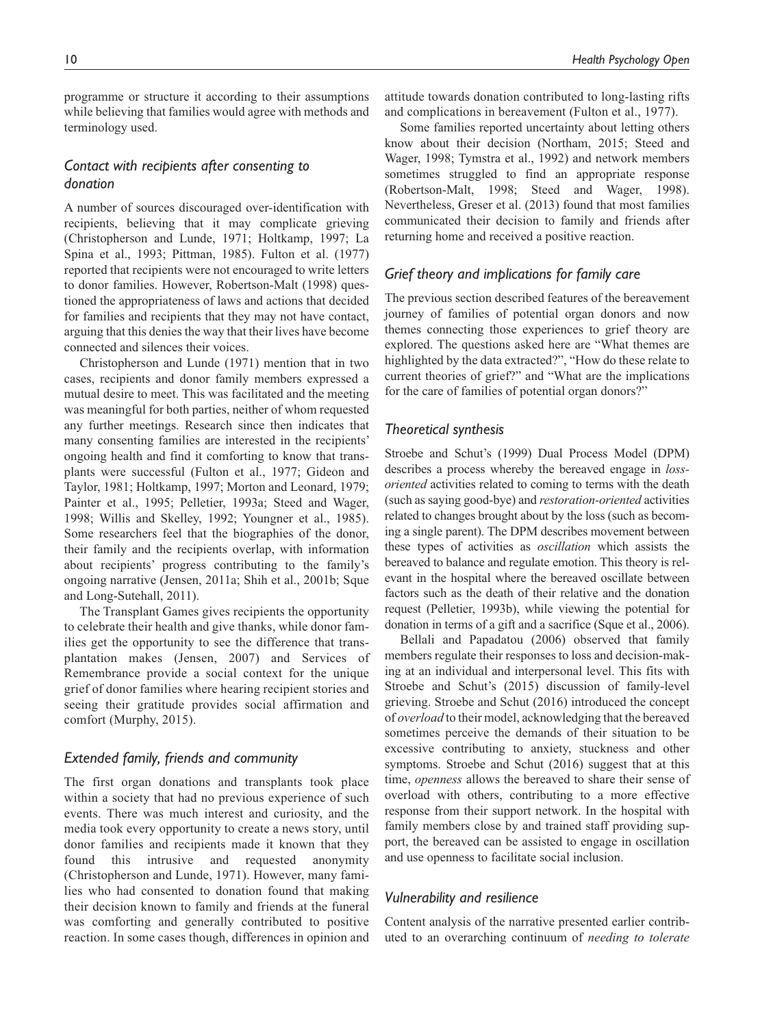programme or structure it according to their assumptions while believing that families would agree with methods and terminology used.

# *Contact with recipients after consenting to donation*

A number of sources discouraged over-identification with recipients, believing that it may complicate grieving (Christopherson and Lunde, 1971; Holtkamp, 1997; La Spina et al., 1993; Pittman, 1985). Fulton et al. (1977) reported that recipients were not encouraged to write letters to donor families. However, Robertson-Malt (1998) questioned the appropriateness of laws and actions that decided for families and recipients that they may not have contact, arguing that this denies the way that their lives have become connected and silences their voices.

Christopherson and Lunde (1971) mention that in two cases, recipients and donor family members expressed a mutual desire to meet. This was facilitated and the meeting was meaningful for both parties, neither of whom requested any further meetings. Research since then indicates that many consenting families are interested in the recipients' ongoing health and find it comforting to know that transplants were successful (Fulton et al., 1977; Gideon and Taylor, 1981; Holtkamp, 1997; Morton and Leonard, 1979; Painter et al., 1995; Pelletier, 1993a; Steed and Wager, 1998; Willis and Skelley, 1992; Youngner et al., 1985). Some researchers feel that the biographies of the donor, their family and the recipients overlap, with information about recipients' progress contributing to the family's ongoing narrative (Jensen, 2011a; Shih et al., 2001b; Sque and Long-Sutehall, 2011).

The Transplant Games gives recipients the opportunity to celebrate their health and give thanks, while donor families get the opportunity to see the difference that transplantation makes (Jensen, 2007) and Services of Remembrance provide a social context for the unique grief of donor families where hearing recipient stories and seeing their gratitude provides social affirmation and comfort (Murphy, 2015).

#### *Extended family, friends and community*

The first organ donations and transplants took place within a society that had no previous experience of such events. There was much interest and curiosity, and the media took every opportunity to create a news story, until donor families and recipients made it known that they found this intrusive and requested anonymity (Christopherson and Lunde, 1971). However, many families who had consented to donation found that making their decision known to family and friends at the funeral was comforting and generally contributed to positive reaction. In some cases though, differences in opinion and attitude towards donation contributed to long-lasting rifts and complications in bereavement (Fulton et al., 1977).

Some families reported uncertainty about letting others know about their decision (Northam, 2015; Steed and Wager, 1998; Tymstra et al., 1992) and network members sometimes struggled to find an appropriate response (Robertson-Malt, 1998; Steed and Wager, 1998). Nevertheless, Greser et al. (2013) found that most families communicated their decision to family and friends after returning home and received a positive reaction.

# *Grief theory and implications for family care*

The previous section described features of the bereavement journey of families of potential organ donors and now themes connecting those experiences to grief theory are explored. The questions asked here are "What themes are highlighted by the data extracted?", "How do these relate to current theories of grief?" and "What are the implications for the care of families of potential organ donors?"

#### *Theoretical synthesis*

Stroebe and Schut's (1999) Dual Process Model (DPM) describes a process whereby the bereaved engage in *lossoriented* activities related to coming to terms with the death (such as saying good-bye) and *restoration-oriented* activities related to changes brought about by the loss (such as becoming a single parent). The DPM describes movement between these types of activities as *oscillation* which assists the bereaved to balance and regulate emotion. This theory is relevant in the hospital where the bereaved oscillate between factors such as the death of their relative and the donation request (Pelletier, 1993b), while viewing the potential for donation in terms of a gift and a sacrifice (Sque et al., 2006).

Bellali and Papadatou (2006) observed that family members regulate their responses to loss and decision-making at an individual and interpersonal level. This fits with Stroebe and Schut's (2015) discussion of family-level grieving. Stroebe and Schut (2016) introduced the concept of *overload* to their model, acknowledging that the bereaved sometimes perceive the demands of their situation to be excessive contributing to anxiety, stuckness and other symptoms. Stroebe and Schut (2016) suggest that at this time, *openness* allows the bereaved to share their sense of overload with others, contributing to a more effective response from their support network. In the hospital with family members close by and trained staff providing support, the bereaved can be assisted to engage in oscillation and use openness to facilitate social inclusion.

## *Vulnerability and resilience*

Content analysis of the narrative presented earlier contributed to an overarching continuum of *needing to tolerate*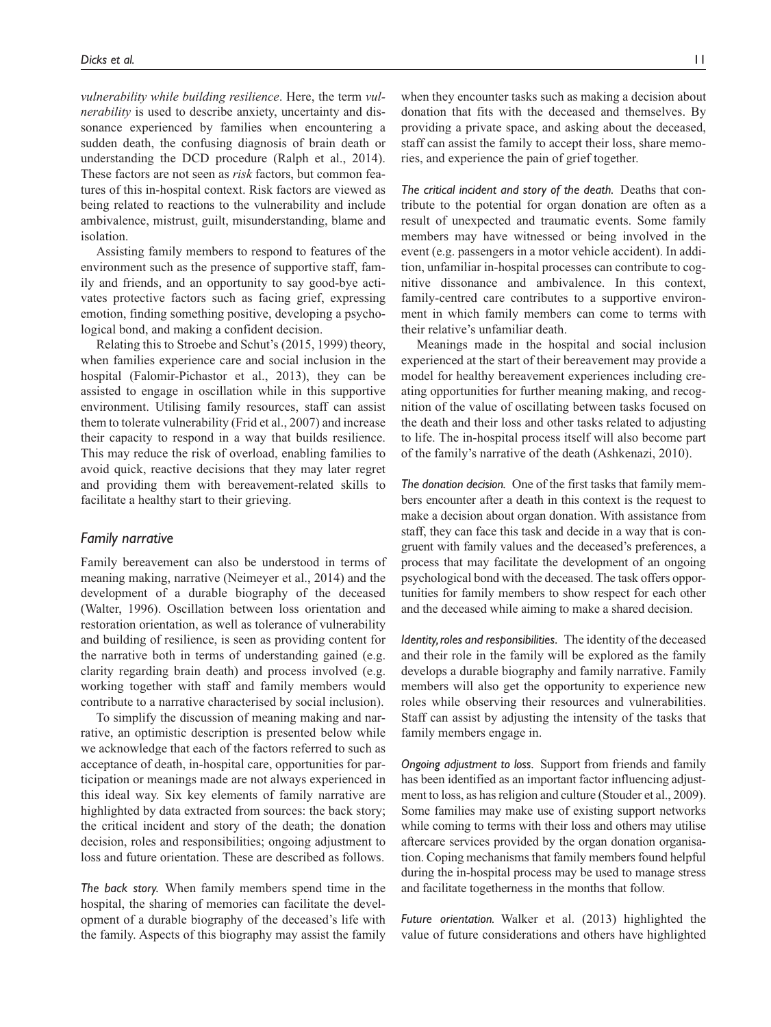*vulnerability while building resilience*. Here, the term *vulnerability* is used to describe anxiety, uncertainty and dissonance experienced by families when encountering a sudden death, the confusing diagnosis of brain death or understanding the DCD procedure (Ralph et al., 2014). These factors are not seen as *risk* factors, but common features of this in-hospital context. Risk factors are viewed as being related to reactions to the vulnerability and include ambivalence, mistrust, guilt, misunderstanding, blame and isolation.

Assisting family members to respond to features of the environment such as the presence of supportive staff, family and friends, and an opportunity to say good-bye activates protective factors such as facing grief, expressing emotion, finding something positive, developing a psychological bond, and making a confident decision.

Relating this to Stroebe and Schut's (2015, 1999) theory, when families experience care and social inclusion in the hospital (Falomir-Pichastor et al., 2013), they can be assisted to engage in oscillation while in this supportive environment. Utilising family resources, staff can assist them to tolerate vulnerability (Frid et al., 2007) and increase their capacity to respond in a way that builds resilience. This may reduce the risk of overload, enabling families to avoid quick, reactive decisions that they may later regret and providing them with bereavement-related skills to facilitate a healthy start to their grieving.

## *Family narrative*

Family bereavement can also be understood in terms of meaning making, narrative (Neimeyer et al., 2014) and the development of a durable biography of the deceased (Walter, 1996). Oscillation between loss orientation and restoration orientation, as well as tolerance of vulnerability and building of resilience, is seen as providing content for the narrative both in terms of understanding gained (e.g. clarity regarding brain death) and process involved (e.g. working together with staff and family members would contribute to a narrative characterised by social inclusion).

To simplify the discussion of meaning making and narrative, an optimistic description is presented below while we acknowledge that each of the factors referred to such as acceptance of death, in-hospital care, opportunities for participation or meanings made are not always experienced in this ideal way. Six key elements of family narrative are highlighted by data extracted from sources: the back story; the critical incident and story of the death; the donation decision, roles and responsibilities; ongoing adjustment to loss and future orientation. These are described as follows.

*The back story.* When family members spend time in the hospital, the sharing of memories can facilitate the development of a durable biography of the deceased's life with the family. Aspects of this biography may assist the family when they encounter tasks such as making a decision about donation that fits with the deceased and themselves. By providing a private space, and asking about the deceased, staff can assist the family to accept their loss, share memories, and experience the pain of grief together.

*The critical incident and story of the death.* Deaths that contribute to the potential for organ donation are often as a result of unexpected and traumatic events. Some family members may have witnessed or being involved in the event (e.g. passengers in a motor vehicle accident). In addition, unfamiliar in-hospital processes can contribute to cognitive dissonance and ambivalence. In this context, family-centred care contributes to a supportive environment in which family members can come to terms with their relative's unfamiliar death.

Meanings made in the hospital and social inclusion experienced at the start of their bereavement may provide a model for healthy bereavement experiences including creating opportunities for further meaning making, and recognition of the value of oscillating between tasks focused on the death and their loss and other tasks related to adjusting to life. The in-hospital process itself will also become part of the family's narrative of the death (Ashkenazi, 2010).

*The donation decision.* One of the first tasks that family members encounter after a death in this context is the request to make a decision about organ donation. With assistance from staff, they can face this task and decide in a way that is congruent with family values and the deceased's preferences, a process that may facilitate the development of an ongoing psychological bond with the deceased. The task offers opportunities for family members to show respect for each other and the deceased while aiming to make a shared decision.

*Identity, roles and responsibilities.* The identity of the deceased and their role in the family will be explored as the family develops a durable biography and family narrative. Family members will also get the opportunity to experience new roles while observing their resources and vulnerabilities. Staff can assist by adjusting the intensity of the tasks that family members engage in.

*Ongoing adjustment to loss.* Support from friends and family has been identified as an important factor influencing adjustment to loss, as has religion and culture (Stouder et al., 2009). Some families may make use of existing support networks while coming to terms with their loss and others may utilise aftercare services provided by the organ donation organisation. Coping mechanisms that family members found helpful during the in-hospital process may be used to manage stress and facilitate togetherness in the months that follow.

*Future orientation.* Walker et al. (2013) highlighted the value of future considerations and others have highlighted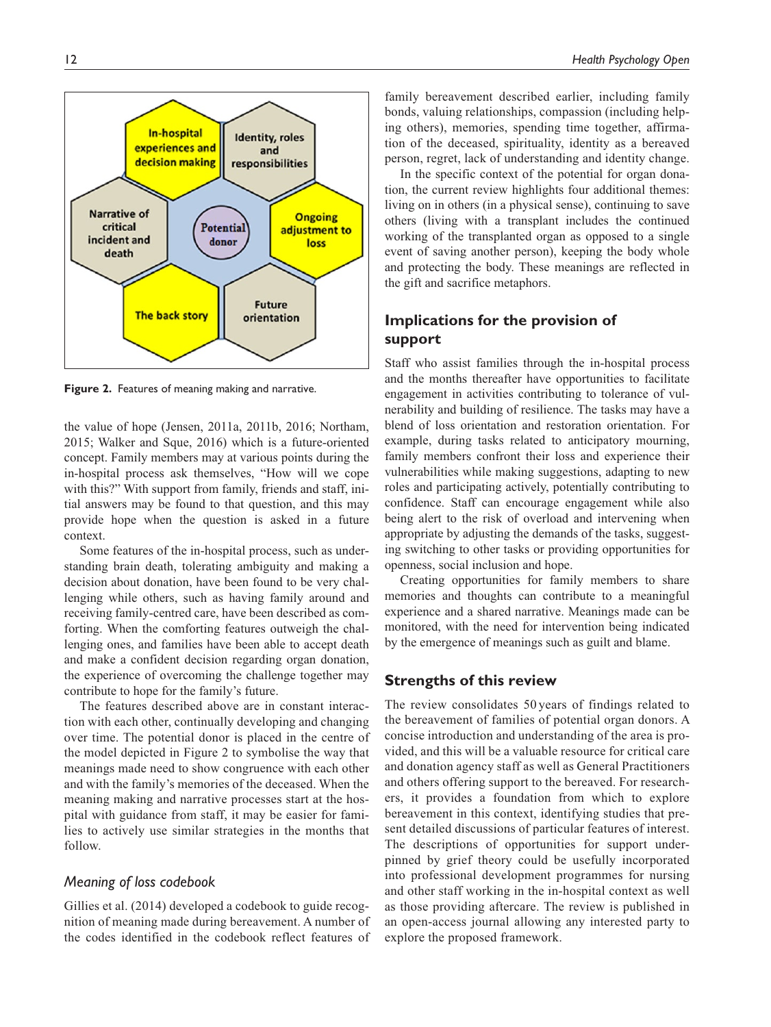

**Figure 2.** Features of meaning making and narrative.

the value of hope (Jensen, 2011a, 2011b, 2016; Northam, 2015; Walker and Sque, 2016) which is a future-oriented concept. Family members may at various points during the in-hospital process ask themselves, "How will we cope with this?" With support from family, friends and staff, initial answers may be found to that question, and this may provide hope when the question is asked in a future context.

Some features of the in-hospital process, such as understanding brain death, tolerating ambiguity and making a decision about donation, have been found to be very challenging while others, such as having family around and receiving family-centred care, have been described as comforting. When the comforting features outweigh the challenging ones, and families have been able to accept death and make a confident decision regarding organ donation, the experience of overcoming the challenge together may contribute to hope for the family's future.

The features described above are in constant interaction with each other, continually developing and changing over time. The potential donor is placed in the centre of the model depicted in Figure 2 to symbolise the way that meanings made need to show congruence with each other and with the family's memories of the deceased. When the meaning making and narrative processes start at the hospital with guidance from staff, it may be easier for families to actively use similar strategies in the months that follow.

## *Meaning of loss codebook*

Gillies et al. (2014) developed a codebook to guide recognition of meaning made during bereavement. A number of the codes identified in the codebook reflect features of

family bereavement described earlier, including family bonds, valuing relationships, compassion (including helping others), memories, spending time together, affirmation of the deceased, spirituality, identity as a bereaved person, regret, lack of understanding and identity change.

In the specific context of the potential for organ donation, the current review highlights four additional themes: living on in others (in a physical sense), continuing to save others (living with a transplant includes the continued working of the transplanted organ as opposed to a single event of saving another person), keeping the body whole and protecting the body. These meanings are reflected in the gift and sacrifice metaphors.

# **Implications for the provision of support**

Staff who assist families through the in-hospital process and the months thereafter have opportunities to facilitate engagement in activities contributing to tolerance of vulnerability and building of resilience. The tasks may have a blend of loss orientation and restoration orientation. For example, during tasks related to anticipatory mourning, family members confront their loss and experience their vulnerabilities while making suggestions, adapting to new roles and participating actively, potentially contributing to confidence. Staff can encourage engagement while also being alert to the risk of overload and intervening when appropriate by adjusting the demands of the tasks, suggesting switching to other tasks or providing opportunities for openness, social inclusion and hope.

Creating opportunities for family members to share memories and thoughts can contribute to a meaningful experience and a shared narrative. Meanings made can be monitored, with the need for intervention being indicated by the emergence of meanings such as guilt and blame.

## **Strengths of this review**

The review consolidates 50 years of findings related to the bereavement of families of potential organ donors. A concise introduction and understanding of the area is provided, and this will be a valuable resource for critical care and donation agency staff as well as General Practitioners and others offering support to the bereaved. For researchers, it provides a foundation from which to explore bereavement in this context, identifying studies that present detailed discussions of particular features of interest. The descriptions of opportunities for support underpinned by grief theory could be usefully incorporated into professional development programmes for nursing and other staff working in the in-hospital context as well as those providing aftercare. The review is published in an open-access journal allowing any interested party to explore the proposed framework.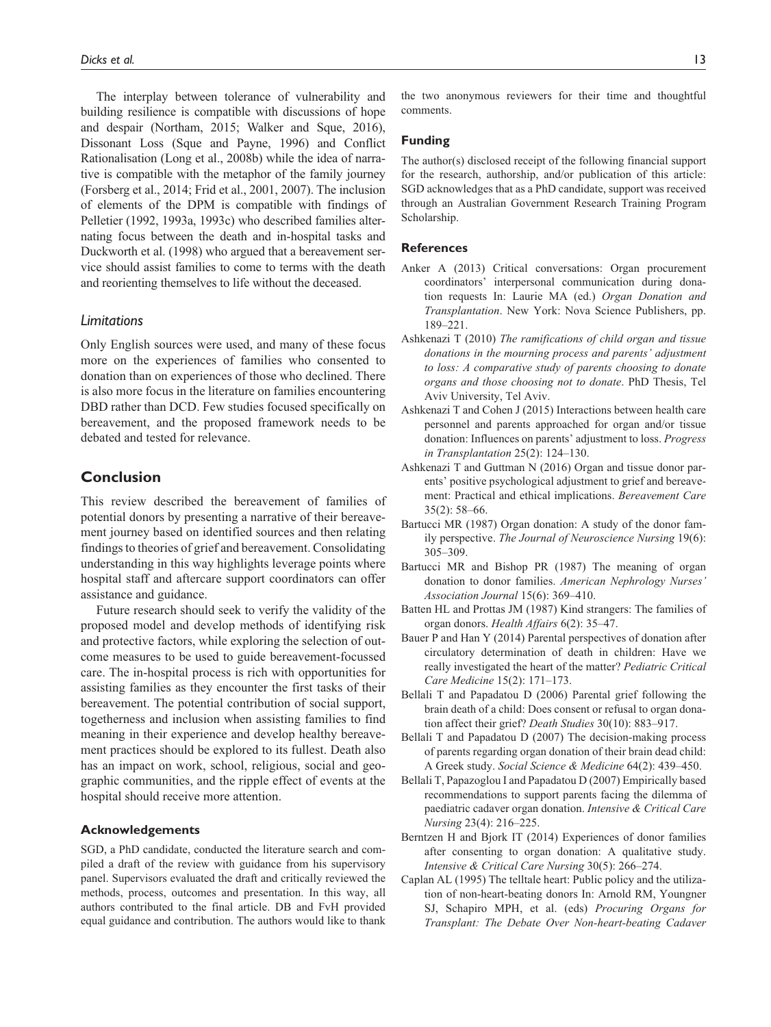The interplay between tolerance of vulnerability and building resilience is compatible with discussions of hope and despair (Northam, 2015; Walker and Sque, 2016), Dissonant Loss (Sque and Payne, 1996) and Conflict Rationalisation (Long et al., 2008b) while the idea of narrative is compatible with the metaphor of the family journey (Forsberg et al., 2014; Frid et al., 2001, 2007). The inclusion of elements of the DPM is compatible with findings of Pelletier (1992, 1993a, 1993c) who described families alternating focus between the death and in-hospital tasks and Duckworth et al. (1998) who argued that a bereavement service should assist families to come to terms with the death and reorienting themselves to life without the deceased.

#### *Limitations*

Only English sources were used, and many of these focus more on the experiences of families who consented to donation than on experiences of those who declined. There is also more focus in the literature on families encountering DBD rather than DCD. Few studies focused specifically on bereavement, and the proposed framework needs to be debated and tested for relevance.

# **Conclusion**

This review described the bereavement of families of potential donors by presenting a narrative of their bereavement journey based on identified sources and then relating findings to theories of grief and bereavement. Consolidating understanding in this way highlights leverage points where hospital staff and aftercare support coordinators can offer assistance and guidance.

Future research should seek to verify the validity of the proposed model and develop methods of identifying risk and protective factors, while exploring the selection of outcome measures to be used to guide bereavement-focussed care. The in-hospital process is rich with opportunities for assisting families as they encounter the first tasks of their bereavement. The potential contribution of social support, togetherness and inclusion when assisting families to find meaning in their experience and develop healthy bereavement practices should be explored to its fullest. Death also has an impact on work, school, religious, social and geographic communities, and the ripple effect of events at the hospital should receive more attention.

#### **Acknowledgements**

SGD, a PhD candidate, conducted the literature search and compiled a draft of the review with guidance from his supervisory panel. Supervisors evaluated the draft and critically reviewed the methods, process, outcomes and presentation. In this way, all authors contributed to the final article. DB and FvH provided equal guidance and contribution. The authors would like to thank the two anonymous reviewers for their time and thoughtful comments.

## **Funding**

The author(s) disclosed receipt of the following financial support for the research, authorship, and/or publication of this article: SGD acknowledges that as a PhD candidate, support was received through an Australian Government Research Training Program Scholarship.

#### **References**

- Anker A (2013) Critical conversations: Organ procurement coordinators' interpersonal communication during donation requests In: Laurie MA (ed.) *Organ Donation and Transplantation*. New York: Nova Science Publishers, pp. 189–221.
- Ashkenazi T (2010) *The ramifications of child organ and tissue donations in the mourning process and parents' adjustment to loss: A comparative study of parents choosing to donate organs and those choosing not to donate*. PhD Thesis, Tel Aviv University, Tel Aviv.
- Ashkenazi T and Cohen J (2015) Interactions between health care personnel and parents approached for organ and/or tissue donation: Influences on parents' adjustment to loss. *Progress in Transplantation* 25(2): 124–130.
- Ashkenazi T and Guttman N (2016) Organ and tissue donor parents' positive psychological adjustment to grief and bereavement: Practical and ethical implications. *Bereavement Care* 35(2): 58–66.
- Bartucci MR (1987) Organ donation: A study of the donor family perspective. *The Journal of Neuroscience Nursing* 19(6): 305–309.
- Bartucci MR and Bishop PR (1987) The meaning of organ donation to donor families. *American Nephrology Nurses' Association Journal* 15(6): 369–410.
- Batten HL and Prottas JM (1987) Kind strangers: The families of organ donors. *Health Affairs* 6(2): 35–47.
- Bauer P and Han Y (2014) Parental perspectives of donation after circulatory determination of death in children: Have we really investigated the heart of the matter? *Pediatric Critical Care Medicine* 15(2): 171–173.
- Bellali T and Papadatou D (2006) Parental grief following the brain death of a child: Does consent or refusal to organ donation affect their grief? *Death Studies* 30(10): 883–917.
- Bellali T and Papadatou D (2007) The decision-making process of parents regarding organ donation of their brain dead child: A Greek study. *Social Science & Medicine* 64(2): 439–450.
- Bellali T, Papazoglou I and Papadatou D (2007) Empirically based recommendations to support parents facing the dilemma of paediatric cadaver organ donation. *Intensive & Critical Care Nursing* 23(4): 216–225.
- Berntzen H and Bjork IT (2014) Experiences of donor families after consenting to organ donation: A qualitative study. *Intensive & Critical Care Nursing* 30(5): 266–274.
- Caplan AL (1995) The telltale heart: Public policy and the utilization of non-heart-beating donors In: Arnold RM, Youngner SJ, Schapiro MPH, et al. (eds) *Procuring Organs for Transplant: The Debate Over Non-heart-beating Cadaver*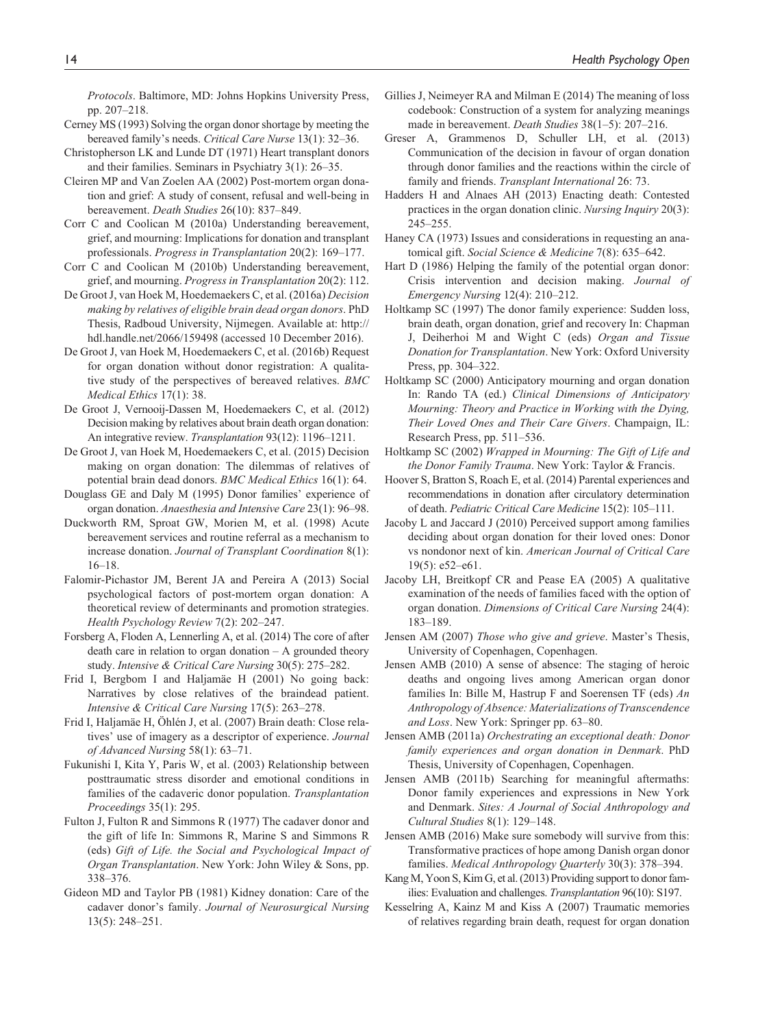*Protocols*. Baltimore, MD: Johns Hopkins University Press, pp. 207–218.

- Cerney MS (1993) Solving the organ donor shortage by meeting the bereaved family's needs. *Critical Care Nurse* 13(1): 32–36.
- Christopherson LK and Lunde DT (1971) Heart transplant donors and their families. Seminars in Psychiatry 3(1): 26–35.
- Cleiren MP and Van Zoelen AA (2002) Post-mortem organ donation and grief: A study of consent, refusal and well-being in bereavement. *Death Studies* 26(10): 837–849.
- Corr C and Coolican M (2010a) Understanding bereavement, grief, and mourning: Implications for donation and transplant professionals. *Progress in Transplantation* 20(2): 169–177.
- Corr C and Coolican M (2010b) Understanding bereavement, grief, and mourning. *Progress in Transplantation* 20(2): 112.
- De Groot J, van Hoek M, Hoedemaekers C, et al. (2016a) *Decision making by relatives of eligible brain dead organ donors*. PhD Thesis, Radboud University, Nijmegen. Available at: [http://](http://hdl.handle.net/2066/159498) [hdl.handle.net/2066/159498](http://hdl.handle.net/2066/159498) (accessed 10 December 2016).
- De Groot J, van Hoek M, Hoedemaekers C, et al. (2016b) Request for organ donation without donor registration: A qualitative study of the perspectives of bereaved relatives. *BMC Medical Ethics* 17(1): 38.
- De Groot J, Vernooij-Dassen M, Hoedemaekers C, et al. (2012) Decision making by relatives about brain death organ donation: An integrative review. *Transplantation* 93(12): 1196–1211.
- De Groot J, van Hoek M, Hoedemaekers C, et al. (2015) Decision making on organ donation: The dilemmas of relatives of potential brain dead donors. *BMC Medical Ethics* 16(1): 64.
- Douglass GE and Daly M (1995) Donor families' experience of organ donation. *Anaesthesia and Intensive Care* 23(1): 96–98.
- Duckworth RM, Sproat GW, Morien M, et al. (1998) Acute bereavement services and routine referral as a mechanism to increase donation. *Journal of Transplant Coordination* 8(1): 16–18.
- Falomir-Pichastor JM, Berent JA and Pereira A (2013) Social psychological factors of post-mortem organ donation: A theoretical review of determinants and promotion strategies. *Health Psychology Review* 7(2): 202–247.
- Forsberg A, Floden A, Lennerling A, et al. (2014) The core of after death care in relation to organ donation – A grounded theory study. *Intensive & Critical Care Nursing* 30(5): 275–282.
- Frid I, Bergbom I and Haljamäe H (2001) No going back: Narratives by close relatives of the braindead patient. *Intensive & Critical Care Nursing* 17(5): 263–278.
- Frid I, Haljamäe H, Öhlén J, et al. (2007) Brain death: Close relatives' use of imagery as a descriptor of experience. *Journal of Advanced Nursing* 58(1): 63–71.
- Fukunishi I, Kita Y, Paris W, et al. (2003) Relationship between posttraumatic stress disorder and emotional conditions in families of the cadaveric donor population. *Transplantation Proceedings* 35(1): 295.
- Fulton J, Fulton R and Simmons R (1977) The cadaver donor and the gift of life In: Simmons R, Marine S and Simmons R (eds) *Gift of Life. the Social and Psychological Impact of Organ Transplantation*. New York: John Wiley & Sons, pp. 338–376.
- Gideon MD and Taylor PB (1981) Kidney donation: Care of the cadaver donor's family. *Journal of Neurosurgical Nursing* 13(5): 248–251.
- Gillies J, Neimeyer RA and Milman E (2014) The meaning of loss codebook: Construction of a system for analyzing meanings made in bereavement. *Death Studies* 38(1–5): 207–216.
- Greser A, Grammenos D, Schuller LH, et al. (2013) Communication of the decision in favour of organ donation through donor families and the reactions within the circle of family and friends. *Transplant International* 26: 73.
- Hadders H and Alnaes AH (2013) Enacting death: Contested practices in the organ donation clinic. *Nursing Inquiry* 20(3): 245–255.
- Haney CA (1973) Issues and considerations in requesting an anatomical gift. *Social Science & Medicine* 7(8): 635–642.
- Hart D (1986) Helping the family of the potential organ donor: Crisis intervention and decision making. *Journal of Emergency Nursing* 12(4): 210–212.
- Holtkamp SC (1997) The donor family experience: Sudden loss, brain death, organ donation, grief and recovery In: Chapman J, Deiherhoi M and Wight C (eds) *Organ and Tissue Donation for Transplantation*. New York: Oxford University Press, pp. 304–322.
- Holtkamp SC (2000) Anticipatory mourning and organ donation In: Rando TA (ed.) *Clinical Dimensions of Anticipatory Mourning: Theory and Practice in Working with the Dying, Their Loved Ones and Their Care Givers*. Champaign, IL: Research Press, pp. 511–536.
- Holtkamp SC (2002) *Wrapped in Mourning: The Gift of Life and the Donor Family Trauma*. New York: Taylor & Francis.
- Hoover S, Bratton S, Roach E, et al. (2014) Parental experiences and recommendations in donation after circulatory determination of death. *Pediatric Critical Care Medicine* 15(2): 105–111.
- Jacoby L and Jaccard J (2010) Perceived support among families deciding about organ donation for their loved ones: Donor vs nondonor next of kin. *American Journal of Critical Care* 19(5): e52–e61.
- Jacoby LH, Breitkopf CR and Pease EA (2005) A qualitative examination of the needs of families faced with the option of organ donation. *Dimensions of Critical Care Nursing* 24(4): 183–189.
- Jensen AM (2007) *Those who give and grieve*. Master's Thesis, University of Copenhagen, Copenhagen.
- Jensen AMB (2010) A sense of absence: The staging of heroic deaths and ongoing lives among American organ donor families In: Bille M, Hastrup F and Soerensen TF (eds) *An Anthropology of Absence: Materializations of Transcendence and Loss*. New York: Springer pp. 63–80.
- Jensen AMB (2011a) *Orchestrating an exceptional death: Donor family experiences and organ donation in Denmark*. PhD Thesis, University of Copenhagen, Copenhagen.
- Jensen AMB (2011b) Searching for meaningful aftermaths: Donor family experiences and expressions in New York and Denmark. *Sites: A Journal of Social Anthropology and Cultural Studies* 8(1): 129–148.
- Jensen AMB (2016) Make sure somebody will survive from this: Transformative practices of hope among Danish organ donor families. *Medical Anthropology Quarterly* 30(3): 378–394.
- Kang M, Yoon S, Kim G, et al. (2013) Providing support to donor families: Evaluation and challenges. *Transplantation* 96(10): S197.
- Kesselring A, Kainz M and Kiss A (2007) Traumatic memories of relatives regarding brain death, request for organ donation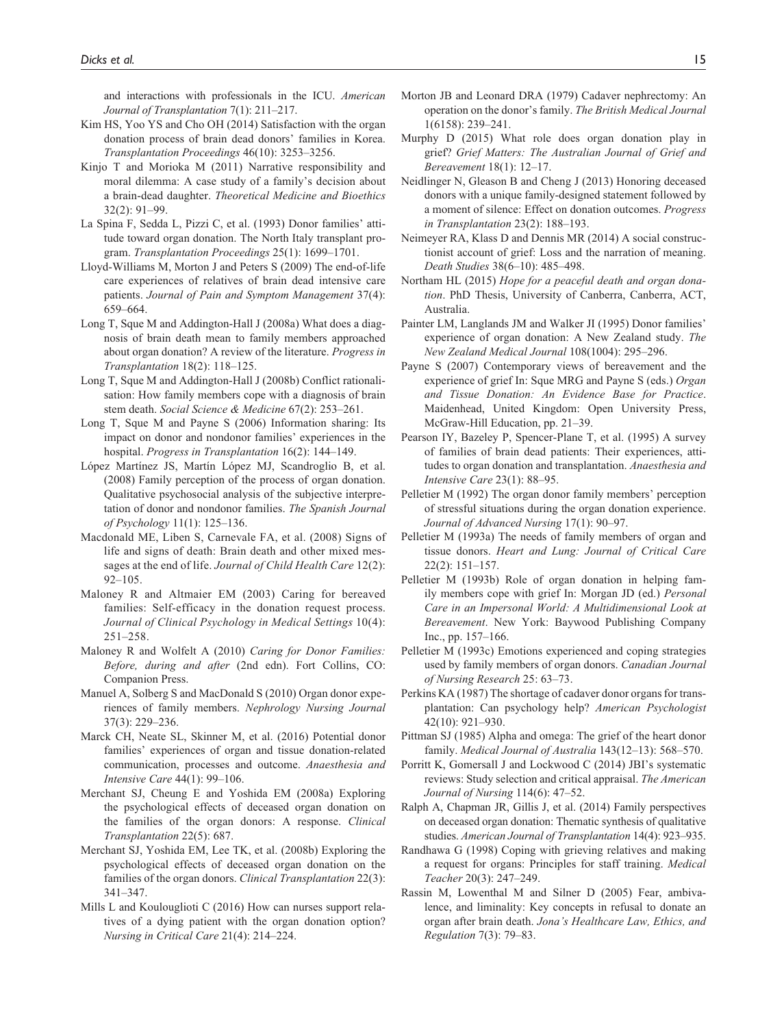and interactions with professionals in the ICU. *American Journal of Transplantation* 7(1): 211–217.

- Kim HS, Yoo YS and Cho OH (2014) Satisfaction with the organ donation process of brain dead donors' families in Korea. *Transplantation Proceedings* 46(10): 3253–3256.
- Kinjo T and Morioka M (2011) Narrative responsibility and moral dilemma: A case study of a family's decision about a brain-dead daughter. *Theoretical Medicine and Bioethics* 32(2): 91–99.
- La Spina F, Sedda L, Pizzi C, et al. (1993) Donor families' attitude toward organ donation. The North Italy transplant program. *Transplantation Proceedings* 25(1): 1699–1701.
- Lloyd-Williams M, Morton J and Peters S (2009) The end-of-life care experiences of relatives of brain dead intensive care patients. *Journal of Pain and Symptom Management* 37(4): 659–664.
- Long T, Sque M and Addington-Hall J (2008a) What does a diagnosis of brain death mean to family members approached about organ donation? A review of the literature. *Progress in Transplantation* 18(2): 118–125.
- Long T, Sque M and Addington-Hall J (2008b) Conflict rationalisation: How family members cope with a diagnosis of brain stem death. *Social Science & Medicine* 67(2): 253–261.
- Long T, Sque M and Payne S (2006) Information sharing: Its impact on donor and nondonor families' experiences in the hospital. *Progress in Transplantation* 16(2): 144–149.
- López Martínez JS, Martín López MJ, Scandroglio B, et al. (2008) Family perception of the process of organ donation. Qualitative psychosocial analysis of the subjective interpretation of donor and nondonor families. *The Spanish Journal of Psychology* 11(1): 125–136.
- Macdonald ME, Liben S, Carnevale FA, et al. (2008) Signs of life and signs of death: Brain death and other mixed messages at the end of life. *Journal of Child Health Care* 12(2): 92–105.
- Maloney R and Altmaier EM (2003) Caring for bereaved families: Self-efficacy in the donation request process. *Journal of Clinical Psychology in Medical Settings* 10(4): 251–258.
- Maloney R and Wolfelt A (2010) *Caring for Donor Families: Before, during and after* (2nd edn). Fort Collins, CO: Companion Press.
- Manuel A, Solberg S and MacDonald S (2010) Organ donor experiences of family members. *Nephrology Nursing Journal* 37(3): 229–236.
- Marck CH, Neate SL, Skinner M, et al. (2016) Potential donor families' experiences of organ and tissue donation-related communication, processes and outcome. *Anaesthesia and Intensive Care* 44(1): 99–106.
- Merchant SJ, Cheung E and Yoshida EM (2008a) Exploring the psychological effects of deceased organ donation on the families of the organ donors: A response. *Clinical Transplantation* 22(5): 687.
- Merchant SJ, Yoshida EM, Lee TK, et al. (2008b) Exploring the psychological effects of deceased organ donation on the families of the organ donors. *Clinical Transplantation* 22(3): 341–347.
- Mills L and Koulouglioti C (2016) How can nurses support relatives of a dying patient with the organ donation option? *Nursing in Critical Care* 21(4): 214–224.
- Morton JB and Leonard DRA (1979) Cadaver nephrectomy: An operation on the donor's family. *The British Medical Journal* 1(6158): 239–241.
- Murphy D (2015) What role does organ donation play in grief? *Grief Matters: The Australian Journal of Grief and Bereavement* 18(1): 12–17.
- Neidlinger N, Gleason B and Cheng J (2013) Honoring deceased donors with a unique family-designed statement followed by a moment of silence: Effect on donation outcomes. *Progress in Transplantation* 23(2): 188–193.
- Neimeyer RA, Klass D and Dennis MR (2014) A social constructionist account of grief: Loss and the narration of meaning. *Death Studies* 38(6–10): 485–498.
- Northam HL (2015) *Hope for a peaceful death and organ donation*. PhD Thesis, University of Canberra, Canberra, ACT, Australia.
- Painter LM, Langlands JM and Walker JI (1995) Donor families' experience of organ donation: A New Zealand study. *The New Zealand Medical Journal* 108(1004): 295–296.
- Payne S (2007) Contemporary views of bereavement and the experience of grief In: Sque MRG and Payne S (eds.) *Organ and Tissue Donation: An Evidence Base for Practice*. Maidenhead, United Kingdom: Open University Press, McGraw-Hill Education, pp. 21–39.
- Pearson IY, Bazeley P, Spencer-Plane T, et al. (1995) A survey of families of brain dead patients: Their experiences, attitudes to organ donation and transplantation. *Anaesthesia and Intensive Care* 23(1): 88–95.
- Pelletier M (1992) The organ donor family members' perception of stressful situations during the organ donation experience. *Journal of Advanced Nursing* 17(1): 90–97.
- Pelletier M (1993a) The needs of family members of organ and tissue donors. *Heart and Lung: Journal of Critical Care* 22(2): 151–157.
- Pelletier M (1993b) Role of organ donation in helping family members cope with grief In: Morgan JD (ed.) *Personal Care in an Impersonal World: A Multidimensional Look at Bereavement*. New York: Baywood Publishing Company Inc., pp. 157–166.
- Pelletier M (1993c) Emotions experienced and coping strategies used by family members of organ donors. *Canadian Journal of Nursing Research* 25: 63–73.
- Perkins KA (1987) The shortage of cadaver donor organs for transplantation: Can psychology help? *American Psychologist* 42(10): 921–930.
- Pittman SJ (1985) Alpha and omega: The grief of the heart donor family. *Medical Journal of Australia* 143(12–13): 568–570.
- Porritt K, Gomersall J and Lockwood C (2014) JBI's systematic reviews: Study selection and critical appraisal. *The American Journal of Nursing* 114(6): 47–52.
- Ralph A, Chapman JR, Gillis J, et al. (2014) Family perspectives on deceased organ donation: Thematic synthesis of qualitative studies. *American Journal of Transplantation* 14(4): 923–935.
- Randhawa G (1998) Coping with grieving relatives and making a request for organs: Principles for staff training. *Medical Teacher* 20(3): 247–249.
- Rassin M, Lowenthal M and Silner D (2005) Fear, ambivalence, and liminality: Key concepts in refusal to donate an organ after brain death. *Jona's Healthcare Law, Ethics, and Regulation* 7(3): 79–83.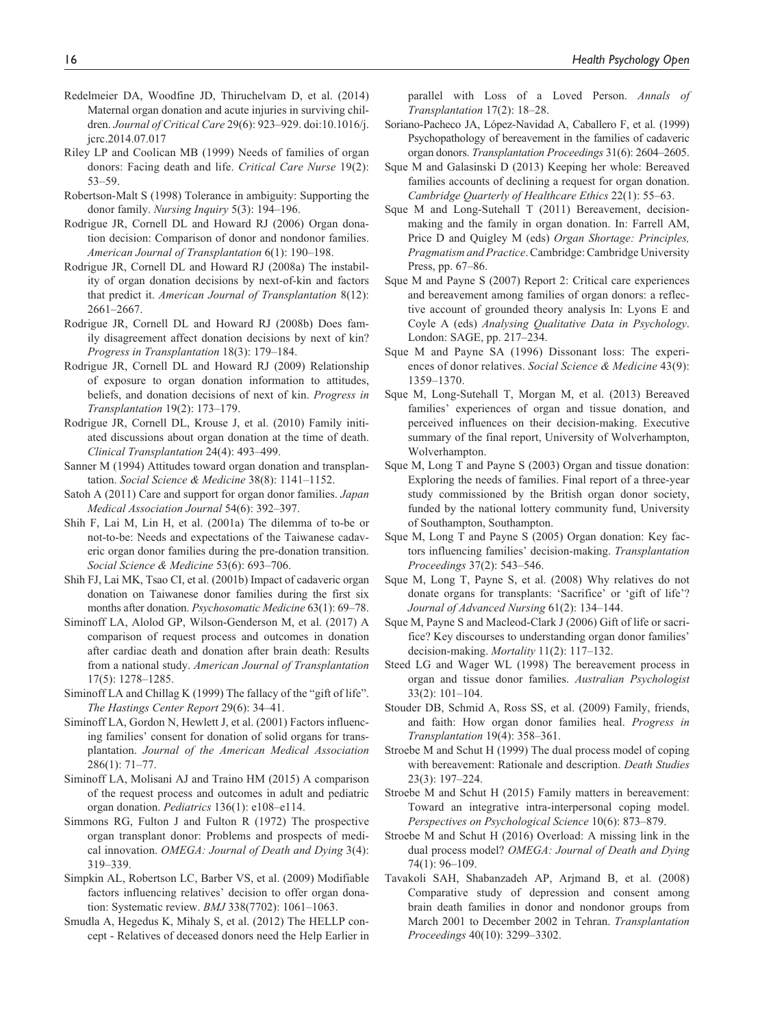- Redelmeier DA, Woodfine JD, Thiruchelvam D, et al. (2014) Maternal organ donation and acute injuries in surviving children. *Journal of Critical Care* 29(6): 923–929. doi:10.1016/j. jcrc.2014.07.017
- Riley LP and Coolican MB (1999) Needs of families of organ donors: Facing death and life. *Critical Care Nurse* 19(2): 53–59.
- Robertson-Malt S (1998) Tolerance in ambiguity: Supporting the donor family. *Nursing Inquiry* 5(3): 194–196.
- Rodrigue JR, Cornell DL and Howard RJ (2006) Organ donation decision: Comparison of donor and nondonor families. *American Journal of Transplantation* 6(1): 190–198.
- Rodrigue JR, Cornell DL and Howard RJ (2008a) The instability of organ donation decisions by next-of-kin and factors that predict it. *American Journal of Transplantation* 8(12): 2661–2667.
- Rodrigue JR, Cornell DL and Howard RJ (2008b) Does family disagreement affect donation decisions by next of kin? *Progress in Transplantation* 18(3): 179–184.
- Rodrigue JR, Cornell DL and Howard RJ (2009) Relationship of exposure to organ donation information to attitudes, beliefs, and donation decisions of next of kin. *Progress in Transplantation* 19(2): 173–179.
- Rodrigue JR, Cornell DL, Krouse J, et al. (2010) Family initiated discussions about organ donation at the time of death. *Clinical Transplantation* 24(4): 493–499.
- Sanner M (1994) Attitudes toward organ donation and transplantation. *Social Science & Medicine* 38(8): 1141–1152.
- Satoh A (2011) Care and support for organ donor families. *Japan Medical Association Journal* 54(6): 392–397.
- Shih F, Lai M, Lin H, et al. (2001a) The dilemma of to-be or not-to-be: Needs and expectations of the Taiwanese cadaveric organ donor families during the pre-donation transition. *Social Science & Medicine* 53(6): 693–706.
- Shih FJ, Lai MK, Tsao CI, et al. (2001b) Impact of cadaveric organ donation on Taiwanese donor families during the first six months after donation. *Psychosomatic Medicine* 63(1): 69–78.
- Siminoff LA, Alolod GP, Wilson-Genderson M, et al. (2017) A comparison of request process and outcomes in donation after cardiac death and donation after brain death: Results from a national study. *American Journal of Transplantation* 17(5): 1278–1285.
- Siminoff LA and Chillag K (1999) The fallacy of the "gift of life". *The Hastings Center Report* 29(6): 34–41.
- Siminoff LA, Gordon N, Hewlett J, et al. (2001) Factors influencing families' consent for donation of solid organs for transplantation. *Journal of the American Medical Association* 286(1): 71–77.
- Siminoff LA, Molisani AJ and Traino HM (2015) A comparison of the request process and outcomes in adult and pediatric organ donation. *Pediatrics* 136(1): e108–e114.
- Simmons RG, Fulton J and Fulton R (1972) The prospective organ transplant donor: Problems and prospects of medical innovation. *OMEGA: Journal of Death and Dying* 3(4): 319–339.
- Simpkin AL, Robertson LC, Barber VS, et al. (2009) Modifiable factors influencing relatives' decision to offer organ donation: Systematic review. *BMJ* 338(7702): 1061–1063.
- Smudla A, Hegedus K, Mihaly S, et al. (2012) The HELLP concept - Relatives of deceased donors need the Help Earlier in

parallel with Loss of a Loved Person. *Annals of Transplantation* 17(2): 18–28.

- Soriano-Pacheco JA, López-Navidad A, Caballero F, et al. (1999) Psychopathology of bereavement in the families of cadaveric organ donors. *Transplantation Proceedings* 31(6): 2604–2605.
- Sque M and Galasinski D (2013) Keeping her whole: Bereaved families accounts of declining a request for organ donation. *Cambridge Quarterly of Healthcare Ethics* 22(1): 55–63.
- Sque M and Long-Sutehall T (2011) Bereavement, decisionmaking and the family in organ donation. In: Farrell AM, Price D and Quigley M (eds) *Organ Shortage: Principles, Pragmatism and Practice*. Cambridge: Cambridge University Press, pp. 67–86.
- Sque M and Payne S (2007) Report 2: Critical care experiences and bereavement among families of organ donors: a reflective account of grounded theory analysis In: Lyons E and Coyle A (eds) *Analysing Qualitative Data in Psychology*. London: SAGE, pp. 217–234.
- Sque M and Payne SA (1996) Dissonant loss: The experiences of donor relatives. *Social Science & Medicine* 43(9): 1359–1370.
- Sque M, Long-Sutehall T, Morgan M, et al. (2013) Bereaved families' experiences of organ and tissue donation, and perceived influences on their decision-making. Executive summary of the final report, University of Wolverhampton, Wolverhampton.
- Sque M, Long T and Payne S (2003) Organ and tissue donation: Exploring the needs of families. Final report of a three-year study commissioned by the British organ donor society, funded by the national lottery community fund, University of Southampton, Southampton.
- Sque M, Long T and Payne S (2005) Organ donation: Key factors influencing families' decision-making. *Transplantation Proceedings* 37(2): 543–546.
- Sque M, Long T, Payne S, et al. (2008) Why relatives do not donate organs for transplants: 'Sacrifice' or 'gift of life'? *Journal of Advanced Nursing* 61(2): 134–144.
- Sque M, Payne S and Macleod-Clark J (2006) Gift of life or sacrifice? Key discourses to understanding organ donor families' decision-making. *Mortality* 11(2): 117–132.
- Steed LG and Wager WL (1998) The bereavement process in organ and tissue donor families. *Australian Psychologist* 33(2): 101–104.
- Stouder DB, Schmid A, Ross SS, et al. (2009) Family, friends, and faith: How organ donor families heal. *Progress in Transplantation* 19(4): 358–361.
- Stroebe M and Schut H (1999) The dual process model of coping with bereavement: Rationale and description. *Death Studies* 23(3): 197–224.
- Stroebe M and Schut H (2015) Family matters in bereavement: Toward an integrative intra-interpersonal coping model. *Perspectives on Psychological Science* 10(6): 873–879.
- Stroebe M and Schut H (2016) Overload: A missing link in the dual process model? *OMEGA: Journal of Death and Dying* 74(1): 96–109.
- Tavakoli SAH, Shabanzadeh AP, Arjmand B, et al. (2008) Comparative study of depression and consent among brain death families in donor and nondonor groups from March 2001 to December 2002 in Tehran. *Transplantation Proceedings* 40(10): 3299–3302.